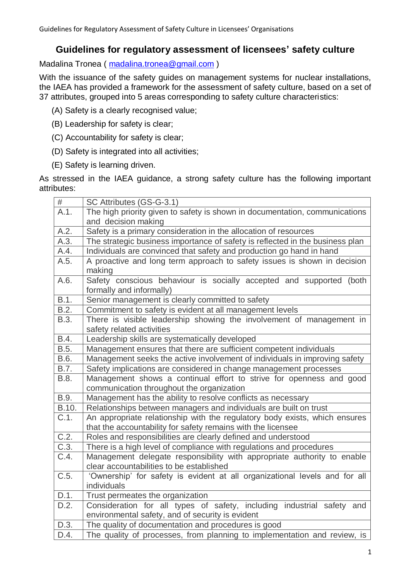# **Guidelines for regulatory assessment of licensees' safety culture**

Madalina Tronea ( [madalina.tronea@gmail.com](mailto:madalina.tronea@gmail.com) )

With the issuance of the safety guides on management systems for nuclear installations, the IAEA has provided a framework for the assessment of safety culture, based on a set of 37 attributes, grouped into 5 areas corresponding to safety culture characteristics:

- (A) Safety is a clearly recognised value;
- (B) Leadership for safety is clear;
- (C) Accountability for safety is clear;
- (D) Safety is integrated into all activities;
- (E) Safety is learning driven.

As stressed in the IAEA guidance, a strong safety culture has the following important attributes:

| #     | SC Attributes (GS-G-3.1)                                                                           |
|-------|----------------------------------------------------------------------------------------------------|
| A.1.  | The high priority given to safety is shown in documentation, communications<br>and decision making |
| A.2.  | Safety is a primary consideration in the allocation of resources                                   |
| A.3.  | The strategic business importance of safety is reflected in the business plan                      |
| A.4.  | Individuals are convinced that safety and production go hand in hand                               |
| A.5.  | A proactive and long term approach to safety issues is shown in decision<br>making                 |
| A.6.  | Safety conscious behaviour is socially accepted and supported<br>(both                             |
|       | formally and informally)                                                                           |
| B.1.  | Senior management is clearly committed to safety                                                   |
| B.2.  | Commitment to safety is evident at all management levels                                           |
| B.3.  | There is visible leadership showing the involvement of management in<br>safety related activities  |
| B.4.  | Leadership skills are systematically developed                                                     |
| B.5.  | Management ensures that there are sufficient competent individuals                                 |
| B.6.  | Management seeks the active involvement of individuals in improving safety                         |
| B.7.  | Safety implications are considered in change management processes                                  |
| B.8.  | Management shows a continual effort to strive for openness and good                                |
|       | communication throughout the organization                                                          |
| B.9.  | Management has the ability to resolve conflicts as necessary                                       |
| B.10. | Relationships between managers and individuals are built on trust                                  |
| C.1.  | An appropriate relationship with the regulatory body exists, which ensures                         |
|       | that the accountability for safety remains with the licensee                                       |
| C.2.  | Roles and responsibilities are clearly defined and understood                                      |
| C.3.  | There is a high level of compliance with regulations and procedures                                |
| C.4.  | Management delegate responsibility with appropriate authority to enable                            |
|       | clear accountabilities to be established                                                           |
| C.5.  | 'Ownership' for safety is evident at all organizational levels and for all                         |
|       | individuals                                                                                        |
| D.1.  | Trust permeates the organization                                                                   |
| D.2.  | Consideration for all types of safety, including industrial safety and                             |
|       | environmental safety, and of security is evident                                                   |
| D.3.  | The quality of documentation and procedures is good                                                |
| D.4.  | The quality of processes, from planning to implementation and review, is                           |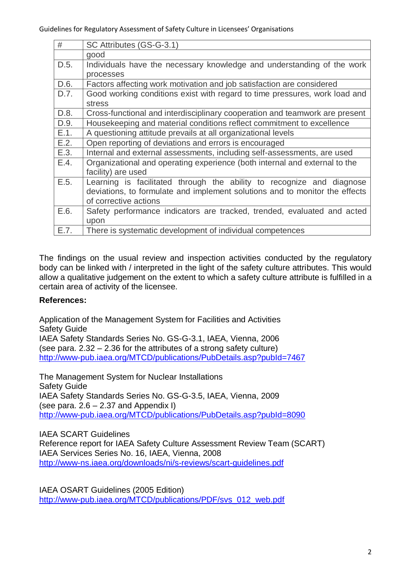| #    | SC Attributes (GS-G-3.1)                                                    |
|------|-----------------------------------------------------------------------------|
|      | good                                                                        |
| D.5. | Individuals have the necessary knowledge and understanding of the work      |
|      | processes                                                                   |
| D.6. | Factors affecting work motivation and job satisfaction are considered       |
| D.7. | Good working conditions exist with regard to time pressures, work load and  |
|      | stress                                                                      |
| D.8. | Cross-functional and interdisciplinary cooperation and teamwork are present |
| D.9. | Housekeeping and material conditions reflect commitment to excellence       |
| E.1. | A questioning attitude prevails at all organizational levels                |
| E.2. | Open reporting of deviations and errors is encouraged                       |
| E.3. | Internal and external assessments, including self-assessments, are used     |
| E.4. | Organizational and operating experience (both internal and external to the  |
|      | facility) are used                                                          |
| E.5. | Learning is facilitated through the ability to recognize and diagnose       |
|      | deviations, to formulate and implement solutions and to monitor the effects |
|      | of corrective actions                                                       |
| E.6. | Safety performance indicators are tracked, trended, evaluated and acted     |
|      | upon                                                                        |
| E.7. | There is systematic development of individual competences                   |

The findings on the usual review and inspection activities conducted by the regulatory body can be linked with / interpreted in the light of the safety culture attributes. This would allow a qualitative judgement on the extent to which a safety culture attribute is fulfilled in a certain area of activity of the licensee.

# **References:**

Application of the Management System for Facilities and Activities Safety Guide IAEA Safety Standards Series No. GS-G-3.1, IAEA, Vienna, 2006 (see para. 2.32 – 2.36 for the attributes of a strong safety culture) <http://www-pub.iaea.org/MTCD/publications/PubDetails.asp?pubId=7467>

The Management System for Nuclear Installations Safety Guide IAEA Safety Standards Series No. GS-G-3.5, IAEA, Vienna, 2009 (see para.  $2.6 - 2.37$  and Appendix I) <http://www-pub.iaea.org/MTCD/publications/PubDetails.asp?pubId=8090>

IAEA SCART Guidelines Reference report for IAEA Safety Culture Assessment Review Team (SCART) IAEA Services Series No. 16, IAEA, Vienna, 2008 <http://www-ns.iaea.org/downloads/ni/s-reviews/scart-guidelines.pdf>

IAEA OSART Guidelines (2005 Edition) [http://www-pub.iaea.org/MTCD/publications/PDF/svs\\_012\\_web.pdf](http://www-pub.iaea.org/MTCD/publications/PDF/svs_012_web.pdf)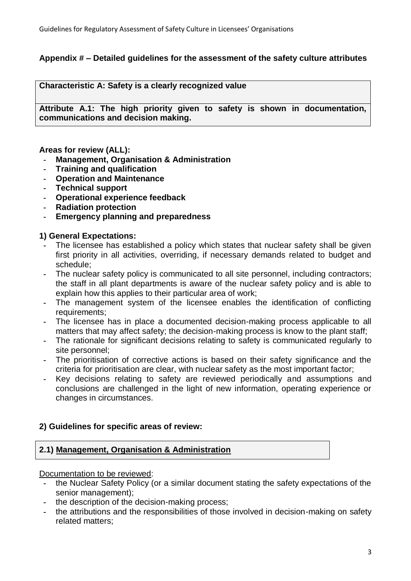# **Appendix # – Detailed guidelines for the assessment of the safety culture attributes**

**Characteristic A: Safety is a clearly recognized value**

**Attribute A.1: The high priority given to safety is shown in documentation, communications and decision making.**

### **Areas for review (ALL):**

- **- Management, Organisation & Administration**
- **- Training and qualification**
- **- Operation and Maintenance**
- **- Technical support**
- **- Operational experience feedback**
- **- Radiation protection**
- **- Emergency planning and preparedness**

## **1) General Expectations:**

- **-** The licensee has established a policy which states that nuclear safety shall be given first priority in all activities, overriding, if necessary demands related to budget and schedule;
- **-** The nuclear safety policy is communicated to all site personnel, including contractors; the staff in all plant departments is aware of the nuclear safety policy and is able to explain how this applies to their particular area of work;
- **-** The management system of the licensee enables the identification of conflicting requirements;
- **-** The licensee has in place a documented decision-making process applicable to all matters that may affect safety; the decision-making process is know to the plant staff;
- **-** The rationale for significant decisions relating to safety is communicated regularly to site personnel;
- **-** The prioritisation of corrective actions is based on their safety significance and the criteria for prioritisation are clear, with nuclear safety as the most important factor;
- **-** Key decisions relating to safety are reviewed periodically and assumptions and conclusions are challenged in the light of new information, operating experience or changes in circumstances.

# **2) Guidelines for specific areas of review:**

# **2.1) Management, Organisation & Administration**

Documentation to be reviewed:

- **-** the Nuclear Safety Policy (or a similar document stating the safety expectations of the senior management);
- **-** the description of the decision-making process;
- **-** the attributions and the responsibilities of those involved in decision-making on safety related matters;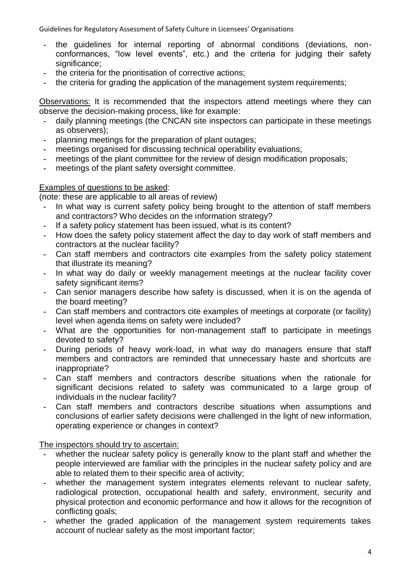- **-** the guidelines for internal reporting of abnormal conditions (deviations, nonconformances, "low level events", etc.) and the criteria for judging their safety significance:
- **-** the criteria for the prioritisation of corrective actions;
- **-** the criteria for grading the application of the management system requirements;

Observations: It is recommended that the inspectors attend meetings where they can observe the decision-making process, like for example:

- **-** daily planning meetings (the CNCAN site inspectors can participate in these meetings as observers);
- **-** planning meetings for the preparation of plant outages;
- **-** meetings organised for discussing technical operability evaluations;
- **-** meetings of the plant committee for the review of design modification proposals;
- **-** meetings of the plant safety oversight committee.

## Examples of questions to be asked:

(note: these are applicable to all areas of review)

- **-** In what way is current safety policy being brought to the attention of staff members and contractors? Who decides on the information strategy?
- **-** If a safety policy statement has been issued, what is its content?
- **-** How does the safety policy statement affect the day to day work of staff members and contractors at the nuclear facility?
- **-** Can staff members and contractors cite examples from the safety policy statement that illustrate its meaning?
- **-** In what way do daily or weekly management meetings at the nuclear facility cover safety significant items?
- **-** Can senior managers describe how safety is discussed, when it is on the agenda of the board meeting?
- **-** Can staff members and contractors cite examples of meetings at corporate (or facility) level when agenda items on safety were included?
- **-** What are the opportunities for non-management staff to participate in meetings devoted to safety?
- **-** During periods of heavy work-load, in what way do managers ensure that staff members and contractors are reminded that unnecessary haste and shortcuts are inappropriate?
- **-** Can staff members and contractors describe situations when the rationale for significant decisions related to safety was communicated to a large group of individuals in the nuclear facility?
- **-** Can staff members and contractors describe situations when assumptions and conclusions of earlier safety decisions were challenged in the light of new information, operating experience or changes in context?

The inspectors should try to ascertain:

- **-** whether the nuclear safety policy is generally know to the plant staff and whether the people interviewed are familiar with the principles in the nuclear safety policy and are able to related them to their specific area of activity;
- whether the management system integrates elements relevant to nuclear safety, radiological protection, occupational health and safety, environment, security and physical protection and economic performance and how it allows for the recognition of conflicting goals;
- **-** whether the graded application of the management system requirements takes account of nuclear safety as the most important factor;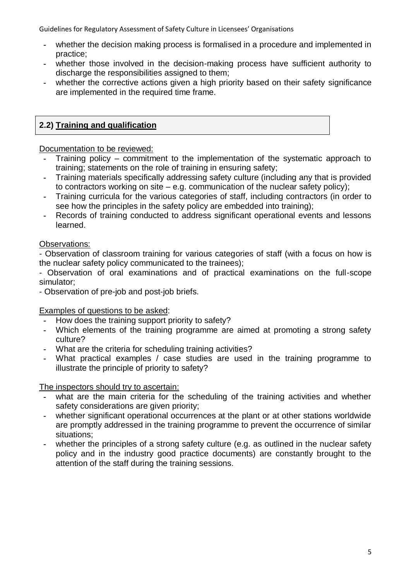- **-** whether the decision making process is formalised in a procedure and implemented in practice;
- **-** whether those involved in the decision-making process have sufficient authority to discharge the responsibilities assigned to them;
- **-** whether the corrective actions given a high priority based on their safety significance are implemented in the required time frame.

# **2.2) Training and qualification**

Documentation to be reviewed:

- **-** Training policy commitment to the implementation of the systematic approach to training; statements on the role of training in ensuring safety;
- **-** Training materials specifically addressing safety culture (including any that is provided to contractors working on site – e.g. communication of the nuclear safety policy);
- **-** Training curricula for the various categories of staff, including contractors (in order to see how the principles in the safety policy are embedded into training);
- **-** Records of training conducted to address significant operational events and lessons learned.

# Observations:

- Observation of classroom training for various categories of staff (with a focus on how is the nuclear safety policy communicated to the trainees);

- Observation of oral examinations and of practical examinations on the full-scope simulator;

- Observation of pre-job and post-job briefs.

Examples of questions to be asked:

- **-** How does the training support priority to safety?
- **-** Which elements of the training programme are aimed at promoting a strong safety culture?
- **-** What are the criteria for scheduling training activities?
- What practical examples / case studies are used in the training programme to illustrate the principle of priority to safety?

The inspectors should try to ascertain:

- what are the main criteria for the scheduling of the training activities and whether safety considerations are given priority;
- **-** whether significant operational occurrences at the plant or at other stations worldwide are promptly addressed in the training programme to prevent the occurrence of similar situations;
- **-** whether the principles of a strong safety culture (e.g. as outlined in the nuclear safety policy and in the industry good practice documents) are constantly brought to the attention of the staff during the training sessions.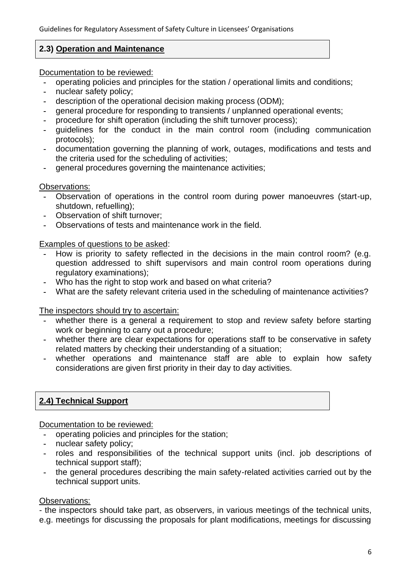# **2.3) Operation and Maintenance**

Documentation to be reviewed:

- **-** operating policies and principles for the station / operational limits and conditions;
- **-** nuclear safety policy;
- **-** description of the operational decision making process (ODM);
- **-** general procedure for responding to transients / unplanned operational events;
- **-** procedure for shift operation (including the shift turnover process);
- **-** guidelines for the conduct in the main control room (including communication protocols);
- **-** documentation governing the planning of work, outages, modifications and tests and the criteria used for the scheduling of activities;
- **-** general procedures governing the maintenance activities;

Observations:

- **-** Observation of operations in the control room during power manoeuvres (start-up, shutdown, refuelling);
- **-** Observation of shift turnover;
- **-** Observations of tests and maintenance work in the field.

Examples of questions to be asked:

- **-** How is priority to safety reflected in the decisions in the main control room? (e.g. question addressed to shift supervisors and main control room operations during regulatory examinations);
- **-** Who has the right to stop work and based on what criteria?
- **-** What are the safety relevant criteria used in the scheduling of maintenance activities?

The inspectors should try to ascertain:

- **-** whether there is a general a requirement to stop and review safety before starting work or beginning to carry out a procedure;
- whether there are clear expectations for operations staff to be conservative in safety related matters by checking their understanding of a situation;
- **-** whether operations and maintenance staff are able to explain how safety considerations are given first priority in their day to day activities.

# **2.4) Technical Support**

Documentation to be reviewed:

- **-** operating policies and principles for the station;
- **-** nuclear safety policy;
- **-** roles and responsibilities of the technical support units (incl. job descriptions of technical support staff);
- **-** the general procedures describing the main safety-related activities carried out by the technical support units.

# Observations:

- the inspectors should take part, as observers, in various meetings of the technical units, e.g. meetings for discussing the proposals for plant modifications, meetings for discussing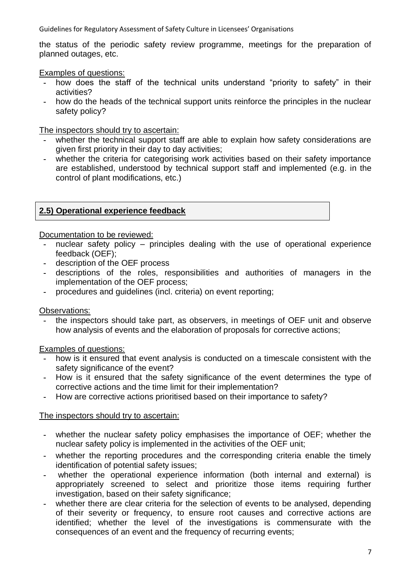the status of the periodic safety review programme, meetings for the preparation of planned outages, etc.

Examples of questions:

- how does the staff of the technical units understand "priority to safety" in their activities?
- **-** how do the heads of the technical support units reinforce the principles in the nuclear safety policy?

The inspectors should try to ascertain:

- whether the technical support staff are able to explain how safety considerations are given first priority in their day to day activities;
- **-** whether the criteria for categorising work activities based on their safety importance are established, understood by technical support staff and implemented (e.g. in the control of plant modifications, etc.)

## **2.5) Operational experience feedback**

Documentation to be reviewed:

- **-** nuclear safety policy principles dealing with the use of operational experience feedback (OEF);
- **-** description of the OEF process
- **-** descriptions of the roles, responsibilities and authorities of managers in the implementation of the OEF process;
- **-** procedures and guidelines (incl. criteria) on event reporting;

Observations:

**-** the inspectors should take part, as observers, in meetings of OEF unit and observe how analysis of events and the elaboration of proposals for corrective actions;

Examples of questions:

- **-** how is it ensured that event analysis is conducted on a timescale consistent with the safety significance of the event?
- **-** How is it ensured that the safety significance of the event determines the type of corrective actions and the time limit for their implementation?
- **-** How are corrective actions prioritised based on their importance to safety?

### The inspectors should try to ascertain:

- **-** whether the nuclear safety policy emphasises the importance of OEF; whether the nuclear safety policy is implemented in the activities of the OEF unit;
- **-** whether the reporting procedures and the corresponding criteria enable the timely identification of potential safety issues;
- **-** whether the operational experience information (both internal and external) is appropriately screened to select and prioritize those items requiring further investigation, based on their safety significance;
- **-** whether there are clear criteria for the selection of events to be analysed, depending of their severity or frequency, to ensure root causes and corrective actions are identified; whether the level of the investigations is commensurate with the consequences of an event and the frequency of recurring events;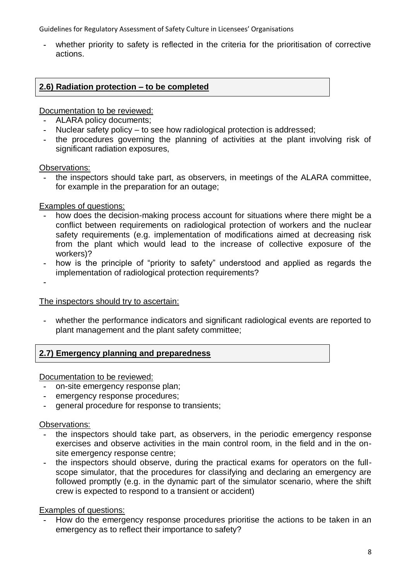**-** whether priority to safety is reflected in the criteria for the prioritisation of corrective actions.

# **2.6) Radiation protection – to be completed**

Documentation to be reviewed:

- **-** ALARA policy documents;
- **-** Nuclear safety policy to see how radiological protection is addressed;
- **-** the procedures governing the planning of activities at the plant involving risk of significant radiation exposures,

### Observations:

**-** the inspectors should take part, as observers, in meetings of the ALARA committee, for example in the preparation for an outage;

### Examples of questions:

- **-** how does the decision-making process account for situations where there might be a conflict between requirements on radiological protection of workers and the nuclear safety requirements (e.g. implementation of modifications aimed at decreasing risk from the plant which would lead to the increase of collective exposure of the workers)?
- how is the principle of "priority to safety" understood and applied as regards the implementation of radiological protection requirements?

**-**

The inspectors should try to ascertain:

**-** whether the performance indicators and significant radiological events are reported to plant management and the plant safety committee;

# **2.7) Emergency planning and preparedness**

Documentation to be reviewed:

- **-** on-site emergency response plan;
- **-** emergency response procedures;
- **-** general procedure for response to transients;

Observations:

- **-** the inspectors should take part, as observers, in the periodic emergency response exercises and observe activities in the main control room, in the field and in the onsite emergency response centre;
- **-** the inspectors should observe, during the practical exams for operators on the fullscope simulator, that the procedures for classifying and declaring an emergency are followed promptly (e.g. in the dynamic part of the simulator scenario, where the shift crew is expected to respond to a transient or accident)

### Examples of questions:

**-** How do the emergency response procedures prioritise the actions to be taken in an emergency as to reflect their importance to safety?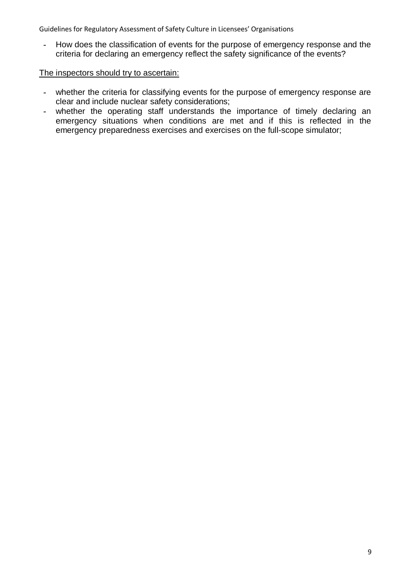**-** How does the classification of events for the purpose of emergency response and the criteria for declaring an emergency reflect the safety significance of the events?

#### The inspectors should try to ascertain:

- **-** whether the criteria for classifying events for the purpose of emergency response are clear and include nuclear safety considerations;
- **-** whether the operating staff understands the importance of timely declaring an emergency situations when conditions are met and if this is reflected in the emergency preparedness exercises and exercises on the full-scope simulator;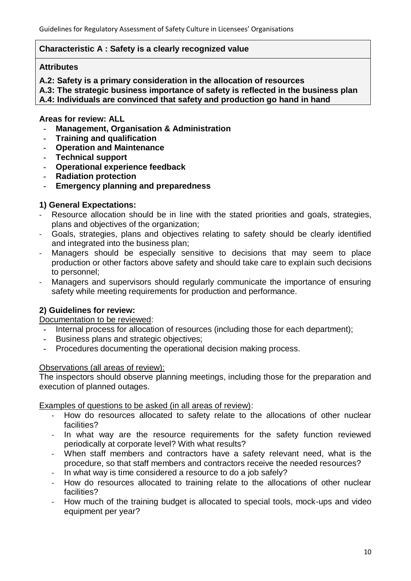## **Characteristic A : Safety is a clearly recognized value**

### **Attributes**

**A.2: Safety is a primary consideration in the allocation of resources**

**A.3: The strategic business importance of safety is reflected in the business plan**

**A.4: Individuals are convinced that safety and production go hand in hand**

# **Areas for review: ALL**

- **- Management, Organisation & Administration**
- **- Training and qualification**
- **- Operation and Maintenance**
- **- Technical support**
- **- Operational experience feedback**
- **- Radiation protection**
- **- Emergency planning and preparedness**

# **1) General Expectations:**

- Resource allocation should be in line with the stated priorities and goals, strategies, plans and objectives of the organization;
- Goals, strategies, plans and objectives relating to safety should be clearly identified and integrated into the business plan;
- Managers should be especially sensitive to decisions that may seem to place production or other factors above safety and should take care to explain such decisions to personnel;
- Managers and supervisors should regularly communicate the importance of ensuring safety while meeting requirements for production and performance.

# **2) Guidelines for review:**

Documentation to be reviewed:

- **-** Internal process for allocation of resources (including those for each department);
- **-** Business plans and strategic objectives;
- **-** Procedures documenting the operational decision making process.

### Observations (all areas of review):

The inspectors should observe planning meetings, including those for the preparation and execution of planned outages.

Examples of questions to be asked (in all areas of review):

- How do resources allocated to safety relate to the allocations of other nuclear facilities?
- In what way are the resource requirements for the safety function reviewed periodically at corporate level? With what results?
- When staff members and contractors have a safety relevant need, what is the procedure, so that staff members and contractors receive the needed resources?
- In what way is time considered a resource to do a job safely?
- How do resources allocated to training relate to the allocations of other nuclear facilities?
- How much of the training budget is allocated to special tools, mock-ups and video equipment per year?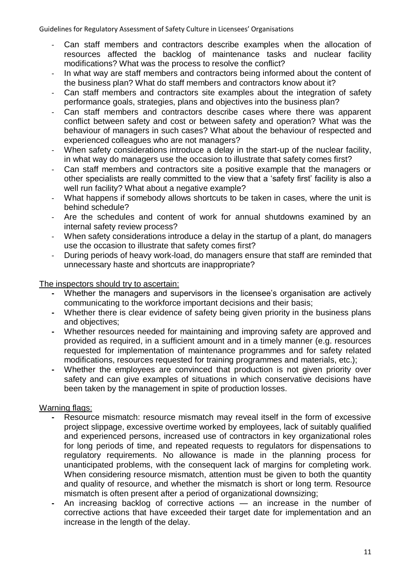- Can staff members and contractors describe examples when the allocation of resources affected the backlog of maintenance tasks and nuclear facility modifications? What was the process to resolve the conflict?
- In what way are staff members and contractors being informed about the content of the business plan? What do staff members and contractors know about it?
- Can staff members and contractors site examples about the integration of safety performance goals, strategies, plans and objectives into the business plan?
- Can staff members and contractors describe cases where there was apparent conflict between safety and cost or between safety and operation? What was the behaviour of managers in such cases? What about the behaviour of respected and experienced colleagues who are not managers?
- When safety considerations introduce a delay in the start-up of the nuclear facility, in what way do managers use the occasion to illustrate that safety comes first?
- Can staff members and contractors site a positive example that the managers or other specialists are really committed to the view that a 'safety first' facility is also a well run facility? What about a negative example?
- What happens if somebody allows shortcuts to be taken in cases, where the unit is behind schedule?
- Are the schedules and content of work for annual shutdowns examined by an internal safety review process?
- When safety considerations introduce a delay in the startup of a plant, do managers use the occasion to illustrate that safety comes first?
- During periods of heavy work-load, do managers ensure that staff are reminded that unnecessary haste and shortcuts are inappropriate?

The inspectors should try to ascertain:

- **-** Whether the managers and supervisors in the licensee's organisation are actively communicating to the workforce important decisions and their basis;
- **-** Whether there is clear evidence of safety being given priority in the business plans and objectives;
- **-** Whether resources needed for maintaining and improving safety are approved and provided as required, in a sufficient amount and in a timely manner (e.g. resources requested for implementation of maintenance programmes and for safety related modifications, resources requested for training programmes and materials, etc.);
- **-** Whether the employees are convinced that production is not given priority over safety and can give examples of situations in which conservative decisions have been taken by the management in spite of production losses.

- **-** Resource mismatch: resource mismatch may reveal itself in the form of excessive project slippage, excessive overtime worked by employees, lack of suitably qualified and experienced persons, increased use of contractors in key organizational roles for long periods of time, and repeated requests to regulators for dispensations to regulatory requirements. No allowance is made in the planning process for unanticipated problems, with the consequent lack of margins for completing work. When considering resource mismatch, attention must be given to both the quantity and quality of resource, and whether the mismatch is short or long term. Resource mismatch is often present after a period of organizational downsizing;
- **-** An increasing backlog of corrective actions an increase in the number of corrective actions that have exceeded their target date for implementation and an increase in the length of the delay.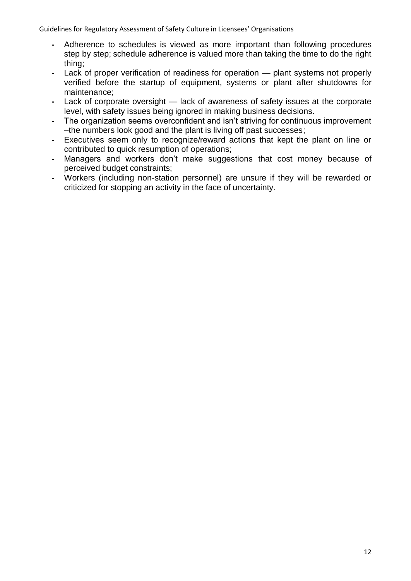- **-** Adherence to schedules is viewed as more important than following procedures step by step; schedule adherence is valued more than taking the time to do the right thing;
- **-** Lack of proper verification of readiness for operation plant systems not properly verified before the startup of equipment, systems or plant after shutdowns for maintenance;
- **-** Lack of corporate oversight lack of awareness of safety issues at the corporate level, with safety issues being ignored in making business decisions.
- **-** The organization seems overconfident and isn't striving for continuous improvement –the numbers look good and the plant is living off past successes;
- **-** Executives seem only to recognize/reward actions that kept the plant on line or contributed to quick resumption of operations;
- **-** Managers and workers don't make suggestions that cost money because of perceived budget constraints;
- **-** Workers (including non-station personnel) are unsure if they will be rewarded or criticized for stopping an activity in the face of uncertainty.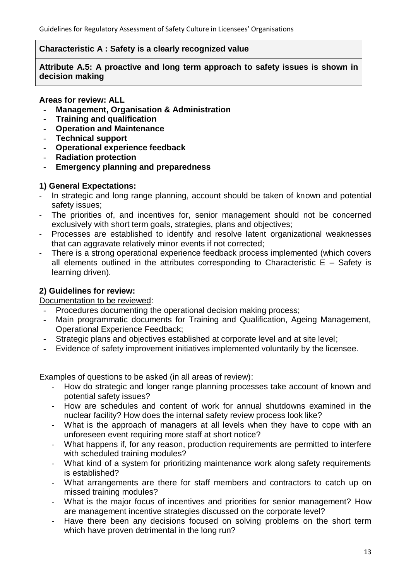## **Characteristic A : Safety is a clearly recognized value**

**Attribute A.5: A proactive and long term approach to safety issues is shown in decision making**

## **Areas for review: ALL**

- **- Management, Organisation & Administration**
- **- Training and qualification**
- **- Operation and Maintenance**
- **- Technical support**
- **- Operational experience feedback**
- **- Radiation protection**
- **- Emergency planning and preparedness**

# **1) General Expectations:**

- In strategic and long range planning, account should be taken of known and potential safety issues;
- The priorities of, and incentives for, senior management should not be concerned exclusively with short term goals, strategies, plans and objectives;
- Processes are established to identify and resolve latent organizational weaknesses that can aggravate relatively minor events if not corrected;
- There is a strong operational experience feedback process implemented (which covers all elements outlined in the attributes corresponding to Characteristic  $E - S$ afety is learning driven).

# **2) Guidelines for review:**

### Documentation to be reviewed:

- **-** Procedures documenting the operational decision making process;
- **-** Main programmatic documents for Training and Qualification, Ageing Management, Operational Experience Feedback;
- **-** Strategic plans and objectives established at corporate level and at site level;
- **-** Evidence of safety improvement initiatives implemented voluntarily by the licensee.

Examples of questions to be asked (in all areas of review):

- How do strategic and longer range planning processes take account of known and potential safety issues?
- How are schedules and content of work for annual shutdowns examined in the nuclear facility? How does the internal safety review process look like?
- What is the approach of managers at all levels when they have to cope with an unforeseen event requiring more staff at short notice?
- What happens if, for any reason, production requirements are permitted to interfere with scheduled training modules?
- What kind of a system for prioritizing maintenance work along safety requirements is established?
- What arrangements are there for staff members and contractors to catch up on missed training modules?
- What is the major focus of incentives and priorities for senior management? How are management incentive strategies discussed on the corporate level?
- Have there been any decisions focused on solving problems on the short term which have proven detrimental in the long run?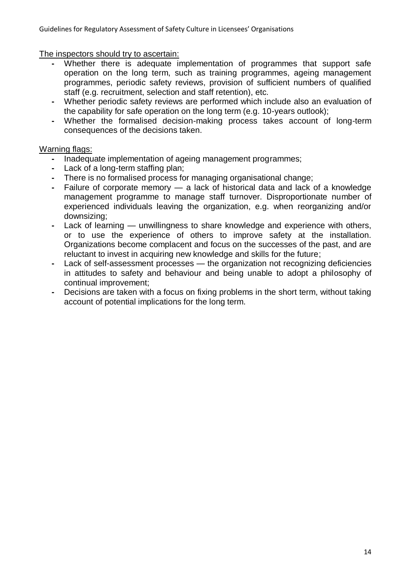The inspectors should try to ascertain:

- **-** Whether there is adequate implementation of programmes that support safe operation on the long term, such as training programmes, ageing management programmes, periodic safety reviews, provision of sufficient numbers of qualified staff (e.g. recruitment, selection and staff retention), etc.
- **-** Whether periodic safety reviews are performed which include also an evaluation of the capability for safe operation on the long term (e.g. 10-years outlook);
- **-** Whether the formalised decision-making process takes account of long-term consequences of the decisions taken.

- **-** Inadequate implementation of ageing management programmes;
- **-** Lack of a long-term staffing plan;
- **-** There is no formalised process for managing organisational change;
- **-** Failure of corporate memory a lack of historical data and lack of a knowledge management programme to manage staff turnover. Disproportionate number of experienced individuals leaving the organization, e.g. when reorganizing and/or downsizing;
- **-** Lack of learning unwillingness to share knowledge and experience with others, or to use the experience of others to improve safety at the installation. Organizations become complacent and focus on the successes of the past, and are reluctant to invest in acquiring new knowledge and skills for the future;
- **-** Lack of self-assessment processes the organization not recognizing deficiencies in attitudes to safety and behaviour and being unable to adopt a philosophy of continual improvement;
- **-** Decisions are taken with a focus on fixing problems in the short term, without taking account of potential implications for the long term.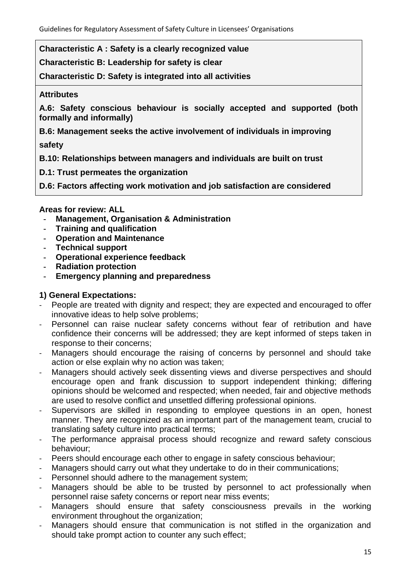**Characteristic A : Safety is a clearly recognized value**

**Characteristic B: Leadership for safety is clear**

**Characteristic D: Safety is integrated into all activities**

## **Attributes**

**A.6: Safety conscious behaviour is socially accepted and supported (both formally and informally)**

**B.6: Management seeks the active involvement of individuals in improving**

**safety**

**B.10: Relationships between managers and individuals are built on trust**

**D.1: Trust permeates the organization**

**D.6: Factors affecting work motivation and job satisfaction are considered**

## **Areas for review: ALL**

- **- Management, Organisation & Administration**
- **- Training and qualification**
- **- Operation and Maintenance**
- **- Technical support**
- **- Operational experience feedback**
- **- Radiation protection**
- **- Emergency planning and preparedness**

# **1) General Expectations:**

- People are treated with dignity and respect; they are expected and encouraged to offer innovative ideas to help solve problems;
- Personnel can raise nuclear safety concerns without fear of retribution and have confidence their concerns will be addressed; they are kept informed of steps taken in response to their concerns;
- Managers should encourage the raising of concerns by personnel and should take action or else explain why no action was taken;
- Managers should actively seek dissenting views and diverse perspectives and should encourage open and frank discussion to support independent thinking; differing opinions should be welcomed and respected; when needed, fair and objective methods are used to resolve conflict and unsettled differing professional opinions.
- Supervisors are skilled in responding to employee questions in an open, honest manner. They are recognized as an important part of the management team, crucial to translating safety culture into practical terms;
- The performance appraisal process should recognize and reward safety conscious behaviour;
- Peers should encourage each other to engage in safety conscious behaviour;
- Managers should carry out what they undertake to do in their communications;
- Personnel should adhere to the management system;
- Managers should be able to be trusted by personnel to act professionally when personnel raise safety concerns or report near miss events;
- Managers should ensure that safety consciousness prevails in the working environment throughout the organization;
- Managers should ensure that communication is not stifled in the organization and should take prompt action to counter any such effect;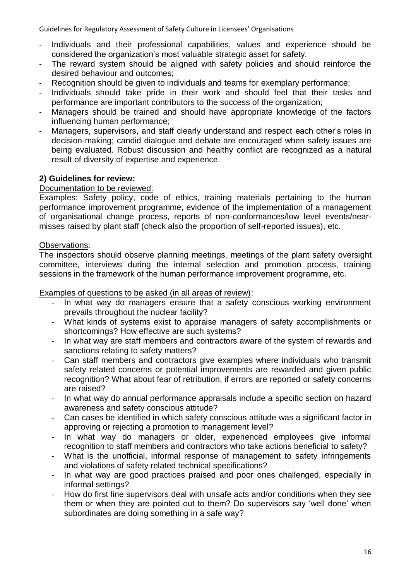- Individuals and their professional capabilities, values and experience should be considered the organization's most valuable strategic asset for safety.
- The reward system should be aligned with safety policies and should reinforce the desired behaviour and outcomes;
- Recognition should be given to individuals and teams for exemplary performance;
- Individuals should take pride in their work and should feel that their tasks and performance are important contributors to the success of the organization;
- Managers should be trained and should have appropriate knowledge of the factors influencing human performance;
- Managers, supervisors, and staff clearly understand and respect each other's roles in decision-making; candid dialogue and debate are encouraged when safety issues are being evaluated. Robust discussion and healthy conflict are recognized as a natural result of diversity of expertise and experience.

# **2) Guidelines for review:**

## Documentation to be reviewed:

Examples: Safety policy, code of ethics, training materials pertaining to the human performance improvement programme, evidence of the implementation of a management of organisational change process, reports of non-conformances/low level events/nearmisses raised by plant staff (check also the proportion of self-reported issues), etc.

### Observations:

The inspectors should observe planning meetings, meetings of the plant safety oversight committee, interviews during the internal selection and promotion process, training sessions in the framework of the human performance improvement programme, etc.

Examples of questions to be asked (in all areas of review):

- In what way do managers ensure that a safety conscious working environment prevails throughout the nuclear facility?
- What kinds of systems exist to appraise managers of safety accomplishments or shortcomings? How effective are such systems?
- In what way are staff members and contractors aware of the system of rewards and sanctions relating to safety matters?
- Can staff members and contractors give examples where individuals who transmit safety related concerns or potential improvements are rewarded and given public recognition? What about fear of retribution, if errors are reported or safety concerns are raised?
- In what way do annual performance appraisals include a specific section on hazard awareness and safety conscious attitude?
- Can cases be identified in which safety conscious attitude was a significant factor in approving or rejecting a promotion to management level?
- In what way do managers or older, experienced employees give informal recognition to staff members and contractors who take actions beneficial to safety?
- What is the unofficial, informal response of management to safety infringements and violations of safety related technical specifications?
- In what way are good practices praised and poor ones challenged, especially in informal settings?
- How do first line supervisors deal with unsafe acts and/or conditions when they see them or when they are pointed out to them? Do supervisors say 'well done' when subordinates are doing something in a safe way?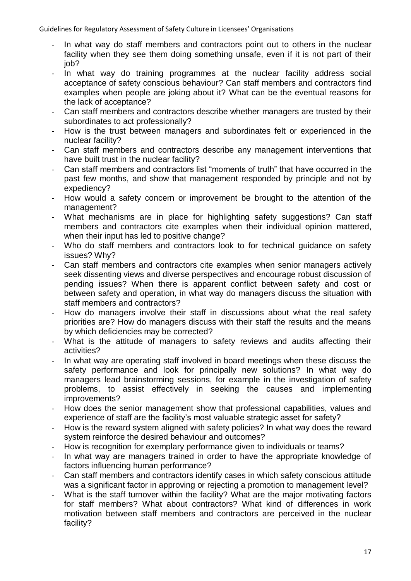- In what way do staff members and contractors point out to others in the nuclear facility when they see them doing something unsafe, even if it is not part of their job?
- In what way do training programmes at the nuclear facility address social acceptance of safety conscious behaviour? Can staff members and contractors find examples when people are joking about it? What can be the eventual reasons for the lack of acceptance?
- Can staff members and contractors describe whether managers are trusted by their subordinates to act professionally?
- How is the trust between managers and subordinates felt or experienced in the nuclear facility?
- Can staff members and contractors describe any management interventions that have built trust in the nuclear facility?
- Can staff members and contractors list "moments of truth" that have occurred in the past few months, and show that management responded by principle and not by expediency?
- How would a safety concern or improvement be brought to the attention of the management?
- What mechanisms are in place for highlighting safety suggestions? Can staff members and contractors cite examples when their individual opinion mattered, when their input has led to positive change?
- Who do staff members and contractors look to for technical guidance on safety issues? Why?
- Can staff members and contractors cite examples when senior managers actively seek dissenting views and diverse perspectives and encourage robust discussion of pending issues? When there is apparent conflict between safety and cost or between safety and operation, in what way do managers discuss the situation with staff members and contractors?
- How do managers involve their staff in discussions about what the real safety priorities are? How do managers discuss with their staff the results and the means by which deficiencies may be corrected?
- What is the attitude of managers to safety reviews and audits affecting their activities?
- In what way are operating staff involved in board meetings when these discuss the safety performance and look for principally new solutions? In what way do managers lead brainstorming sessions, for example in the investigation of safety problems, to assist effectively in seeking the causes and implementing improvements?
- How does the senior management show that professional capabilities, values and experience of staff are the facility's most valuable strategic asset for safety?
- How is the reward system aligned with safety policies? In what way does the reward system reinforce the desired behaviour and outcomes?
- How is recognition for exemplary performance given to individuals or teams?
- In what way are managers trained in order to have the appropriate knowledge of factors influencing human performance?
- Can staff members and contractors identify cases in which safety conscious attitude was a significant factor in approving or rejecting a promotion to management level?
- What is the staff turnover within the facility? What are the major motivating factors for staff members? What about contractors? What kind of differences in work motivation between staff members and contractors are perceived in the nuclear facility?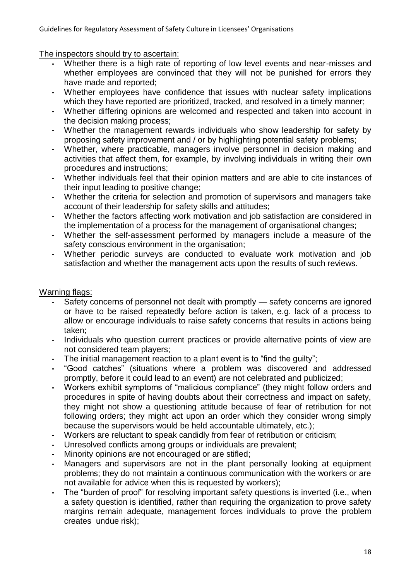The inspectors should try to ascertain:

- **-** Whether there is a high rate of reporting of low level events and near-misses and whether employees are convinced that they will not be punished for errors they have made and reported;
- **-** Whether employees have confidence that issues with nuclear safety implications which they have reported are prioritized, tracked, and resolved in a timely manner;
- **-** Whether differing opinions are welcomed and respected and taken into account in the decision making process;
- **-** Whether the management rewards individuals who show leadership for safety by proposing safety improvement and / or by highlighting potential safety problems;
- **-** Whether, where practicable, managers involve personnel in decision making and activities that affect them, for example, by involving individuals in writing their own procedures and instructions;
- **-** Whether individuals feel that their opinion matters and are able to cite instances of their input leading to positive change;
- **-** Whether the criteria for selection and promotion of supervisors and managers take account of their leadership for safety skills and attitudes;
- **-** Whether the factors affecting work motivation and job satisfaction are considered in the implementation of a process for the management of organisational changes;
- **-** Whether the self-assessment performed by managers include a measure of the safety conscious environment in the organisation;
- **-** Whether periodic surveys are conducted to evaluate work motivation and job satisfaction and whether the management acts upon the results of such reviews.

- **-** Safety concerns of personnel not dealt with promptly safety concerns are ignored or have to be raised repeatedly before action is taken, e.g. lack of a process to allow or encourage individuals to raise safety concerns that results in actions being taken;
- **-** Individuals who question current practices or provide alternative points of view are not considered team players;
- The initial management reaction to a plant event is to "find the guilty";<br>- "Good catches" (situations where a problem was discovered a
- **-** ―Good catches‖ (situations where a problem was discovered and addressed promptly, before it could lead to an event) are not celebrated and publicized;
- Workers exhibit symptoms of "malicious compliance" (they might follow orders and procedures in spite of having doubts about their correctness and impact on safety, they might not show a questioning attitude because of fear of retribution for not following orders; they might act upon an order which they consider wrong simply because the supervisors would be held accountable ultimately, etc.);
- **-** Workers are reluctant to speak candidly from fear of retribution or criticism;
- **-** Unresolved conflicts among groups or individuals are prevalent;
- **-** Minority opinions are not encouraged or are stifled;
- **-** Managers and supervisors are not in the plant personally looking at equipment problems; they do not maintain a continuous communication with the workers or are not available for advice when this is requested by workers);
- The "burden of proof" for resolving important safety questions is inverted (i.e., when a safety question is identified, rather than requiring the organization to prove safety margins remain adequate, management forces individuals to prove the problem creates undue risk);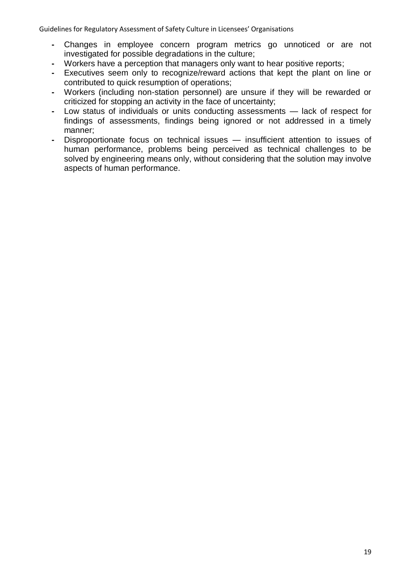- **-** Changes in employee concern program metrics go unnoticed or are not investigated for possible degradations in the culture;
- **-** Workers have a perception that managers only want to hear positive reports;
- **-** Executives seem only to recognize/reward actions that kept the plant on line or contributed to quick resumption of operations;
- **-** Workers (including non-station personnel) are unsure if they will be rewarded or criticized for stopping an activity in the face of uncertainty;
- **-** Low status of individuals or units conducting assessments lack of respect for findings of assessments, findings being ignored or not addressed in a timely manner;
- **-** Disproportionate focus on technical issues insufficient attention to issues of human performance, problems being perceived as technical challenges to be solved by engineering means only, without considering that the solution may involve aspects of human performance.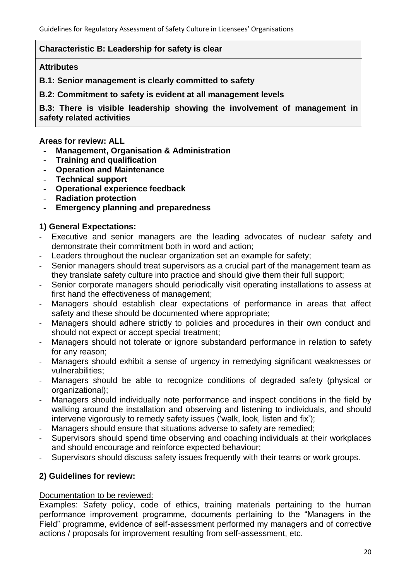## **Characteristic B: Leadership for safety is clear**

#### **Attributes**

**B.1: Senior management is clearly committed to safety**

**B.2: Commitment to safety is evident at all management levels**

**B.3: There is visible leadership showing the involvement of management in safety related activities**

### **Areas for review: ALL**

- **- Management, Organisation & Administration**
- **- Training and qualification**
- **- Operation and Maintenance**
- **- Technical support**
- **- Operational experience feedback**
- **- Radiation protection**
- **- Emergency planning and preparedness**

# **1) General Expectations:**

- Executive and senior managers are the leading advocates of nuclear safety and demonstrate their commitment both in word and action;
- Leaders throughout the nuclear organization set an example for safety;
- Senior managers should treat supervisors as a crucial part of the management team as they translate safety culture into practice and should give them their full support;
- Senior corporate managers should periodically visit operating installations to assess at first hand the effectiveness of management;
- Managers should establish clear expectations of performance in areas that affect safety and these should be documented where appropriate;
- Managers should adhere strictly to policies and procedures in their own conduct and should not expect or accept special treatment;
- Managers should not tolerate or ignore substandard performance in relation to safety for any reason;
- Managers should exhibit a sense of urgency in remedying significant weaknesses or vulnerabilities;
- Managers should be able to recognize conditions of degraded safety (physical or organizational);
- Managers should individually note performance and inspect conditions in the field by walking around the installation and observing and listening to individuals, and should intervene vigorously to remedy safety issues ('walk, look, listen and fix');
- Managers should ensure that situations adverse to safety are remedied;
- Supervisors should spend time observing and coaching individuals at their workplaces and should encourage and reinforce expected behaviour;
- Supervisors should discuss safety issues frequently with their teams or work groups.

# **2) Guidelines for review:**

### Documentation to be reviewed:

Examples: Safety policy, code of ethics, training materials pertaining to the human performance improvement programme, documents pertaining to the "Managers in the Field" programme, evidence of self-assessment performed my managers and of corrective actions / proposals for improvement resulting from self-assessment, etc.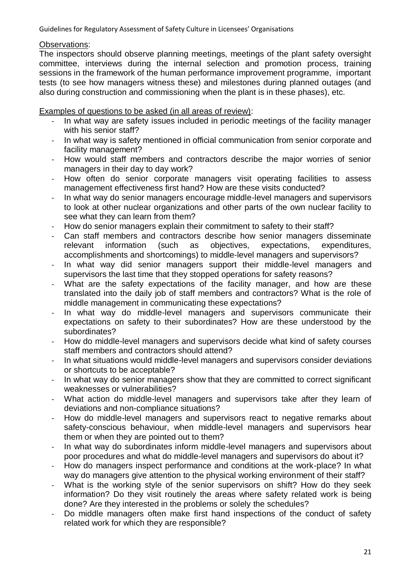## Observations:

The inspectors should observe planning meetings, meetings of the plant safety oversight committee, interviews during the internal selection and promotion process, training sessions in the framework of the human performance improvement programme, important tests (to see how managers witness these) and milestones during planned outages (and also during construction and commissioning when the plant is in these phases), etc.

Examples of questions to be asked (in all areas of review):

- In what way are safety issues included in periodic meetings of the facility manager with his senior staff?
- In what way is safety mentioned in official communication from senior corporate and facility management?
- How would staff members and contractors describe the major worries of senior managers in their day to day work?
- How often do senior corporate managers visit operating facilities to assess management effectiveness first hand? How are these visits conducted?
- In what way do senior managers encourage middle-level managers and supervisors to look at other nuclear organizations and other parts of the own nuclear facility to see what they can learn from them?
- How do senior managers explain their commitment to safety to their staff?
- Can staff members and contractors describe how senior managers disseminate relevant information (such as objectives, expectations, expenditures, accomplishments and shortcomings) to middle-level managers and supervisors?
- In what way did senior managers support their middle-level managers and supervisors the last time that they stopped operations for safety reasons?
- What are the safety expectations of the facility manager, and how are these translated into the daily job of staff members and contractors? What is the role of middle management in communicating these expectations?
- In what way do middle-level managers and supervisors communicate their expectations on safety to their subordinates? How are these understood by the subordinates?
- How do middle-level managers and supervisors decide what kind of safety courses staff members and contractors should attend?
- In what situations would middle-level managers and supervisors consider deviations or shortcuts to be acceptable?
- In what way do senior managers show that they are committed to correct significant weaknesses or vulnerabilities?
- What action do middle-level managers and supervisors take after they learn of deviations and non-compliance situations?
- How do middle-level managers and supervisors react to negative remarks about safety-conscious behaviour, when middle-level managers and supervisors hear them or when they are pointed out to them?
- In what way do subordinates inform middle-level managers and supervisors about poor procedures and what do middle-level managers and supervisors do about it?
- How do managers inspect performance and conditions at the work-place? In what way do managers give attention to the physical working environment of their staff?
- What is the working style of the senior supervisors on shift? How do they seek information? Do they visit routinely the areas where safety related work is being done? Are they interested in the problems or solely the schedules?
- Do middle managers often make first hand inspections of the conduct of safety related work for which they are responsible?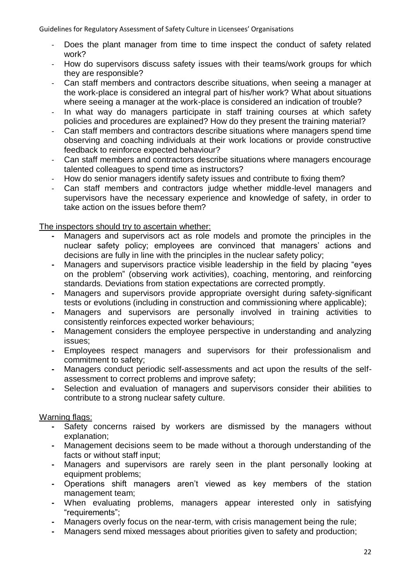- Does the plant manager from time to time inspect the conduct of safety related work?
- How do supervisors discuss safety issues with their teams/work groups for which they are responsible?
- Can staff members and contractors describe situations, when seeing a manager at the work-place is considered an integral part of his/her work? What about situations where seeing a manager at the work-place is considered an indication of trouble?
- In what way do managers participate in staff training courses at which safety policies and procedures are explained? How do they present the training material?
- Can staff members and contractors describe situations where managers spend time observing and coaching individuals at their work locations or provide constructive feedback to reinforce expected behaviour?
- Can staff members and contractors describe situations where managers encourage talented colleagues to spend time as instructors?
- How do senior managers identify safety issues and contribute to fixing them?
- Can staff members and contractors judge whether middle-level managers and supervisors have the necessary experience and knowledge of safety, in order to take action on the issues before them?

# The inspectors should try to ascertain whether:

- **-** Managers and supervisors act as role models and promote the principles in the nuclear safety policy; employees are convinced that managers' actions and decisions are fully in line with the principles in the nuclear safety policy;
- Managers and supervisors practice visible leadership in the field by placing "eyes" on the problem‖ (observing work activities), coaching, mentoring, and reinforcing standards. Deviations from station expectations are corrected promptly.
- **-** Managers and supervisors provide appropriate oversight during safety-significant tests or evolutions (including in construction and commissioning where applicable);
- **-** Managers and supervisors are personally involved in training activities to consistently reinforces expected worker behaviours;
- **-** Management considers the employee perspective in understanding and analyzing issues;
- **-** Employees respect managers and supervisors for their professionalism and commitment to safety;
- **-** Managers conduct periodic self-assessments and act upon the results of the selfassessment to correct problems and improve safety;
- **-** Selection and evaluation of managers and supervisors consider their abilities to contribute to a strong nuclear safety culture.

- **-** Safety concerns raised by workers are dismissed by the managers without explanation;
- **-** Management decisions seem to be made without a thorough understanding of the facts or without staff input;
- **-** Managers and supervisors are rarely seen in the plant personally looking at equipment problems;
- **-** Operations shift managers aren't viewed as key members of the station management team;
- **-** When evaluating problems, managers appear interested only in satisfying "requirements":
- **-** Managers overly focus on the near-term, with crisis management being the rule;
- **-** Managers send mixed messages about priorities given to safety and production;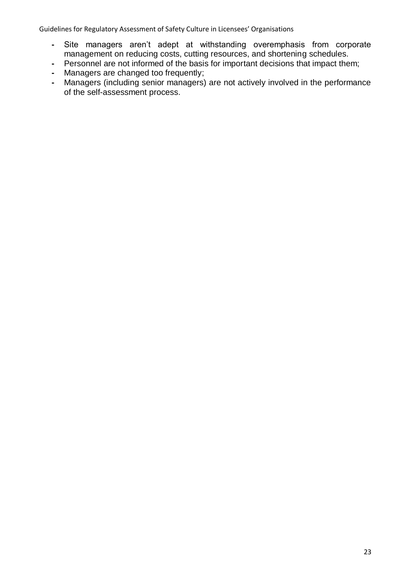- **-** Site managers aren't adept at withstanding overemphasis from corporate management on reducing costs, cutting resources, and shortening schedules.
- **-** Personnel are not informed of the basis for important decisions that impact them;
- **-** Managers are changed too frequently;
- **-** Managers (including senior managers) are not actively involved in the performance of the self-assessment process.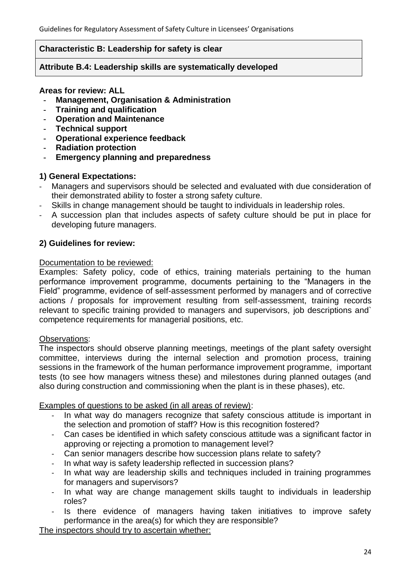### **Characteristic B: Leadership for safety is clear**

### **Attribute B.4: Leadership skills are systematically developed**

### **Areas for review: ALL**

- **- Management, Organisation & Administration**
- **- Training and qualification**
- **- Operation and Maintenance**
- **- Technical support**
- **- Operational experience feedback**
- **- Radiation protection**
- **- Emergency planning and preparedness**

## **1) General Expectations:**

- Managers and supervisors should be selected and evaluated with due consideration of their demonstrated ability to foster a strong safety culture.
- Skills in change management should be taught to individuals in leadership roles.
- A succession plan that includes aspects of safety culture should be put in place for developing future managers.

## **2) Guidelines for review:**

### Documentation to be reviewed:

Examples: Safety policy, code of ethics, training materials pertaining to the human performance improvement programme, documents pertaining to the "Managers in the Field" programme, evidence of self-assessment performed by managers and of corrective actions / proposals for improvement resulting from self-assessment, training records relevant to specific training provided to managers and supervisors, job descriptions and` competence requirements for managerial positions, etc.

### Observations:

The inspectors should observe planning meetings, meetings of the plant safety oversight committee, interviews during the internal selection and promotion process, training sessions in the framework of the human performance improvement programme, important tests (to see how managers witness these) and milestones during planned outages (and also during construction and commissioning when the plant is in these phases), etc.

Examples of questions to be asked (in all areas of review):

- In what way do managers recognize that safety conscious attitude is important in the selection and promotion of staff? How is this recognition fostered?
- Can cases be identified in which safety conscious attitude was a significant factor in approving or rejecting a promotion to management level?
- Can senior managers describe how succession plans relate to safety?
- In what way is safety leadership reflected in succession plans?
- In what way are leadership skills and techniques included in training programmes for managers and supervisors?
- In what way are change management skills taught to individuals in leadership roles?
- Is there evidence of managers having taken initiatives to improve safety performance in the area(s) for which they are responsible?

The inspectors should try to ascertain whether: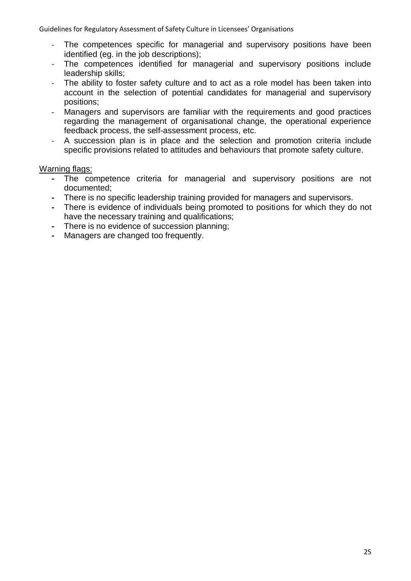- The competences specific for managerial and supervisory positions have been identified (eg. in the job descriptions);
- The competences identified for managerial and supervisory positions include leadership skills;
- The ability to foster safety culture and to act as a role model has been taken into account in the selection of potential candidates for managerial and supervisory positions;
- Managers and supervisors are familiar with the requirements and good practices regarding the management of organisational change, the operational experience feedback process, the self-assessment process, etc.
- A succession plan is in place and the selection and promotion criteria include specific provisions related to attitudes and behaviours that promote safety culture.

- **-** The competence criteria for managerial and supervisory positions are not documented;
- **-** There is no specific leadership training provided for managers and supervisors.
- **-** There is evidence of individuals being promoted to positions for which they do not have the necessary training and qualifications;
- **-** There is no evidence of succession planning;
- **-** Managers are changed too frequently.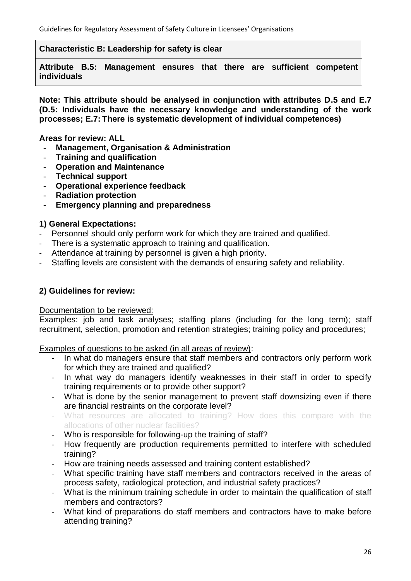**Characteristic B: Leadership for safety is clear**

**Attribute B.5: Management ensures that there are sufficient competent individuals**

**Note: This attribute should be analysed in conjunction with attributes D.5 and E.7 (D.5: Individuals have the necessary knowledge and understanding of the work processes; E.7: There is systematic development of individual competences)**

**Areas for review: ALL**

- **- Management, Organisation & Administration**
- **- Training and qualification**
- **- Operation and Maintenance**
- **- Technical support**
- **- Operational experience feedback**
- **- Radiation protection**
- **- Emergency planning and preparedness**

## **1) General Expectations:**

- Personnel should only perform work for which they are trained and qualified.
- There is a systematic approach to training and qualification.
- Attendance at training by personnel is given a high priority.
- Staffing levels are consistent with the demands of ensuring safety and reliability.

# **2) Guidelines for review:**

Documentation to be reviewed:

Examples: job and task analyses; staffing plans (including for the long term); staff recruitment, selection, promotion and retention strategies; training policy and procedures;

Examples of questions to be asked (in all areas of review):

- In what do managers ensure that staff members and contractors only perform work for which they are trained and qualified?
- In what way do managers identify weaknesses in their staff in order to specify training requirements or to provide other support?
- What is done by the senior management to prevent staff downsizing even if there are financial restraints on the corporate level?
- What resources are allocated to training? How does this compare with the allocations of other nuclear facilities?
- Who is responsible for following-up the training of staff?
- How frequently are production requirements permitted to interfere with scheduled training?
- How are training needs assessed and training content established?
- What specific training have staff members and contractors received in the areas of process safety, radiological protection, and industrial safety practices?
- What is the minimum training schedule in order to maintain the qualification of staff members and contractors?
- What kind of preparations do staff members and contractors have to make before attending training?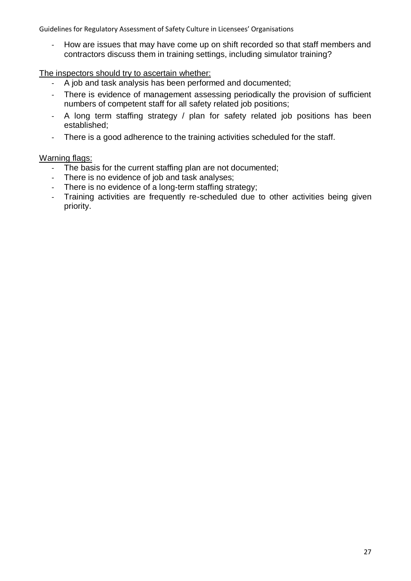- How are issues that may have come up on shift recorded so that staff members and contractors discuss them in training settings, including simulator training?

## The inspectors should try to ascertain whether:

- A job and task analysis has been performed and documented;
- There is evidence of management assessing periodically the provision of sufficient numbers of competent staff for all safety related job positions;
- A long term staffing strategy / plan for safety related job positions has been established;
- There is a good adherence to the training activities scheduled for the staff.

- The basis for the current staffing plan are not documented;
- There is no evidence of job and task analyses;
- There is no evidence of a long-term staffing strategy;<br>- Training activities are frequently re-scheduled due
- Training activities are frequently re-scheduled due to other activities being given priority.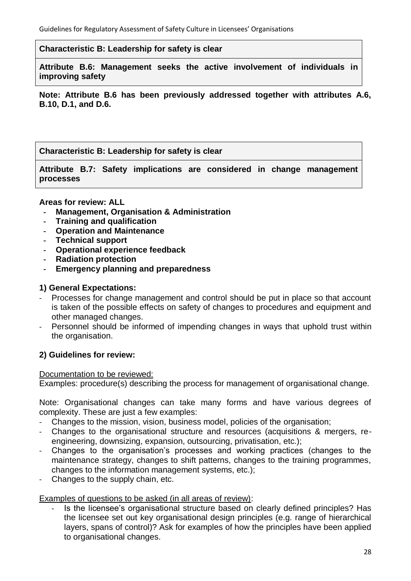**Characteristic B: Leadership for safety is clear**

**Attribute B.6: Management seeks the active involvement of individuals in improving safety**

**Note: Attribute B.6 has been previously addressed together with attributes A.6, B.10, D.1, and D.6.**

**Characteristic B: Leadership for safety is clear**

**Attribute B.7: Safety implications are considered in change management processes**

### **Areas for review: ALL**

- **- Management, Organisation & Administration**
- **- Training and qualification**
- **- Operation and Maintenance**
- **- Technical support**
- **- Operational experience feedback**
- **- Radiation protection**
- **- Emergency planning and preparedness**

## **1) General Expectations:**

- Processes for change management and control should be put in place so that account is taken of the possible effects on safety of changes to procedures and equipment and other managed changes.
- Personnel should be informed of impending changes in ways that uphold trust within the organisation.

### **2) Guidelines for review:**

### Documentation to be reviewed:

Examples: procedure(s) describing the process for management of organisational change.

Note: Organisational changes can take many forms and have various degrees of complexity. These are just a few examples:

- Changes to the mission, vision, business model, policies of the organisation;
- Changes to the organisational structure and resources (acquisitions & mergers, reengineering, downsizing, expansion, outsourcing, privatisation, etc.);
- Changes to the organisation's processes and working practices (changes to the maintenance strategy, changes to shift patterns, changes to the training programmes, changes to the information management systems, etc.);
- Changes to the supply chain, etc.

## Examples of questions to be asked (in all areas of review):

- Is the licensee's organisational structure based on clearly defined principles? Has the licensee set out key organisational design principles (e.g. range of hierarchical layers, spans of control)? Ask for examples of how the principles have been applied to organisational changes.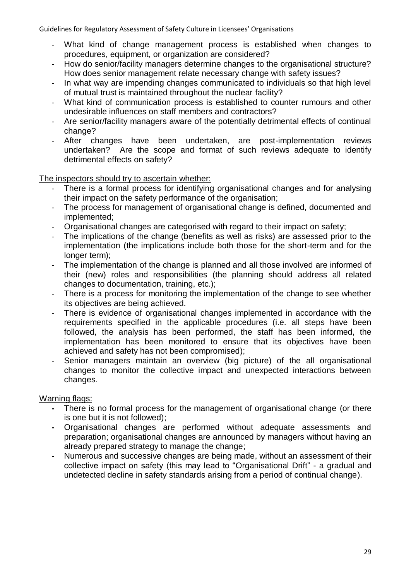- What kind of change management process is established when changes to procedures, equipment, or organization are considered?
- How do senior/facility managers determine changes to the organisational structure? How does senior management relate necessary change with safety issues?
- In what way are impending changes communicated to individuals so that high level of mutual trust is maintained throughout the nuclear facility?
- What kind of communication process is established to counter rumours and other undesirable influences on staff members and contractors?
- Are senior/facility managers aware of the potentially detrimental effects of continual change?
- After changes have been undertaken, are post-implementation reviews undertaken? Are the scope and format of such reviews adequate to identify detrimental effects on safety?

The inspectors should try to ascertain whether:

- There is a formal process for identifying organisational changes and for analysing their impact on the safety performance of the organisation;
- The process for management of organisational change is defined, documented and implemented;
- Organisational changes are categorised with regard to their impact on safety;
- The implications of the change (benefits as well as risks) are assessed prior to the implementation (the implications include both those for the short-term and for the longer term):
- The implementation of the change is planned and all those involved are informed of their (new) roles and responsibilities (the planning should address all related changes to documentation, training, etc.);
- There is a process for monitoring the implementation of the change to see whether its objectives are being achieved.
- There is evidence of organisational changes implemented in accordance with the requirements specified in the applicable procedures (i.e. all steps have been followed, the analysis has been performed, the staff has been informed, the implementation has been monitored to ensure that its objectives have been achieved and safety has not been compromised);
- Senior managers maintain an overview (big picture) of the all organisational changes to monitor the collective impact and unexpected interactions between changes.

- **-** There is no formal process for the management of organisational change (or there is one but it is not followed);
- **-** Organisational changes are performed without adequate assessments and preparation; organisational changes are announced by managers without having an already prepared strategy to manage the change;
- **-** Numerous and successive changes are being made, without an assessment of their collective impact on safety (this may lead to "Organisational Drift" - a gradual and undetected decline in safety standards arising from a period of continual change).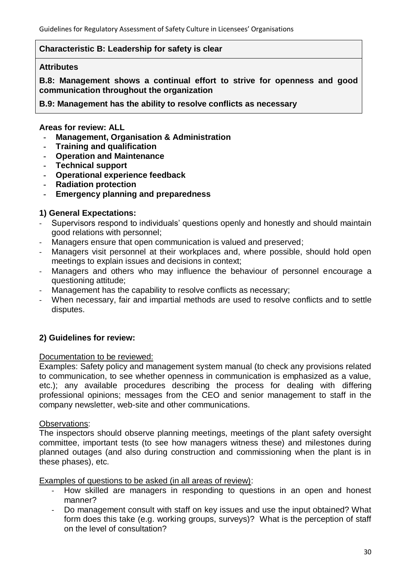## **Characteristic B: Leadership for safety is clear**

#### **Attributes**

**B.8: Management shows a continual effort to strive for openness and good communication throughout the organization**

**B.9: Management has the ability to resolve conflicts as necessary**

#### **Areas for review: ALL**

- **- Management, Organisation & Administration**
- **- Training and qualification**
- **- Operation and Maintenance**
- **- Technical support**
- **- Operational experience feedback**
- **- Radiation protection**
- **- Emergency planning and preparedness**

# **1) General Expectations:**

- Supervisors respond to individuals' questions openly and honestly and should maintain good relations with personnel;
- Managers ensure that open communication is valued and preserved;
- Managers visit personnel at their workplaces and, where possible, should hold open meetings to explain issues and decisions in context;
- Managers and others who may influence the behaviour of personnel encourage a questioning attitude;
- Management has the capability to resolve conflicts as necessary;
- When necessary, fair and impartial methods are used to resolve conflicts and to settle disputes.

### **2) Guidelines for review:**

### Documentation to be reviewed:

Examples: Safety policy and management system manual (to check any provisions related to communication, to see whether openness in communication is emphasized as a value, etc.); any available procedures describing the process for dealing with differing professional opinions; messages from the CEO and senior management to staff in the company newsletter, web-site and other communications.

### Observations:

The inspectors should observe planning meetings, meetings of the plant safety oversight committee, important tests (to see how managers witness these) and milestones during planned outages (and also during construction and commissioning when the plant is in these phases), etc.

Examples of questions to be asked (in all areas of review):

- How skilled are managers in responding to questions in an open and honest manner?
- Do management consult with staff on key issues and use the input obtained? What form does this take (e.g. working groups, surveys)? What is the perception of staff on the level of consultation?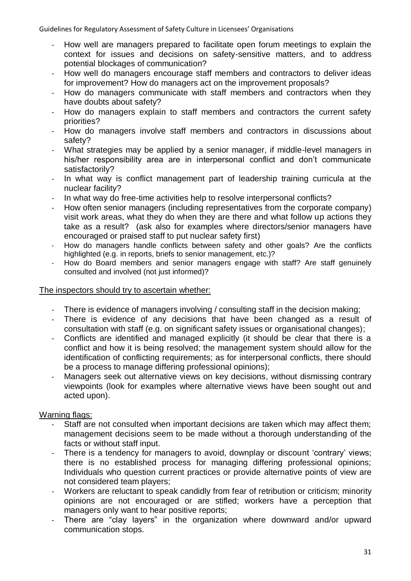- How well are managers prepared to facilitate open forum meetings to explain the context for issues and decisions on safety-sensitive matters, and to address potential blockages of communication?
- How well do managers encourage staff members and contractors to deliver ideas for improvement? How do managers act on the improvement proposals?
- How do managers communicate with staff members and contractors when they have doubts about safety?
- How do managers explain to staff members and contractors the current safety priorities?
- How do managers involve staff members and contractors in discussions about safety?
- What strategies may be applied by a senior manager, if middle-level managers in his/her responsibility area are in interpersonal conflict and don't communicate satisfactorily?
- In what way is conflict management part of leadership training curricula at the nuclear facility?
- In what way do free-time activities help to resolve interpersonal conflicts?
- How often senior managers (including representatives from the corporate company) visit work areas, what they do when they are there and what follow up actions they take as a result? (ask also for examples where directors/senior managers have encouraged or praised staff to put nuclear safety first)
- How do managers handle conflicts between safety and other goals? Are the conflicts highlighted (e.g. in reports, briefs to senior management, etc.)?
- How do Board members and senior managers engage with staff? Are staff genuinely consulted and involved (not just informed)?

# The inspectors should try to ascertain whether:

- There is evidence of managers involving / consulting staff in the decision making;
- There is evidence of any decisions that have been changed as a result of consultation with staff (e.g. on significant safety issues or organisational changes);
- Conflicts are identified and managed explicitly (it should be clear that there is a conflict and how it is being resolved; the management system should allow for the identification of conflicting requirements; as for interpersonal conflicts, there should be a process to manage differing professional opinions);
- Managers seek out alternative views on key decisions, without dismissing contrary viewpoints (look for examples where alternative views have been sought out and acted upon).

- Staff are not consulted when important decisions are taken which may affect them; management decisions seem to be made without a thorough understanding of the facts or without staff input.
- There is a tendency for managers to avoid, downplay or discount 'contrary' views; there is no established process for managing differing professional opinions; Individuals who question current practices or provide alternative points of view are not considered team players;
- Workers are reluctant to speak candidly from fear of retribution or criticism; minority opinions are not encouraged or are stifled; workers have a perception that managers only want to hear positive reports;
- There are "clay layers" in the organization where downward and/or upward communication stops.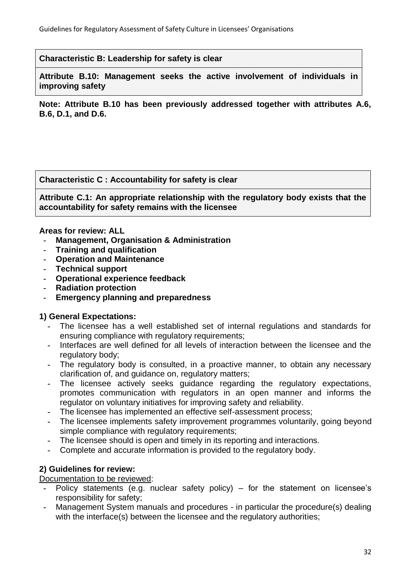**Characteristic B: Leadership for safety is clear**

**Attribute B.10: Management seeks the active involvement of individuals in improving safety**

**Note: Attribute B.10 has been previously addressed together with attributes A.6, B.6, D.1, and D.6.**

**Characteristic C : Accountability for safety is clear**

**Attribute C.1: An appropriate relationship with the regulatory body exists that the accountability for safety remains with the licensee**

### **Areas for review: ALL**

- **- Management, Organisation & Administration**
- **- Training and qualification**
- **- Operation and Maintenance**
- **- Technical support**
- **- Operational experience feedback**
- **- Radiation protection**
- **- Emergency planning and preparedness**

# **1) General Expectations:**

- **-** The licensee has a well established set of internal regulations and standards for ensuring compliance with regulatory requirements;
- **-** Interfaces are well defined for all levels of interaction between the licensee and the regulatory body;
- **-** The regulatory body is consulted, in a proactive manner, to obtain any necessary clarification of, and guidance on, regulatory matters;
- **-** The licensee actively seeks guidance regarding the regulatory expectations, promotes communication with regulators in an open manner and informs the regulator on voluntary initiatives for improving safety and reliability.
- **-** The licensee has implemented an effective self-assessment process;
- **-** The licensee implements safety improvement programmes voluntarily, going beyond simple compliance with regulatory requirements;
- **-** The licensee should is open and timely in its reporting and interactions.
- **-** Complete and accurate information is provided to the regulatory body.

# **2) Guidelines for review:**

## Documentation to be reviewed:

- **-** Policy statements (e.g. nuclear safety policy) for the statement on licensee's responsibility for safety;
- **-** Management System manuals and procedures in particular the procedure(s) dealing with the interface(s) between the licensee and the regulatory authorities;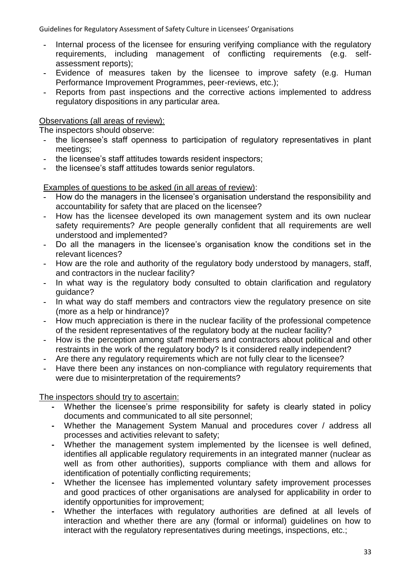- **-** Internal process of the licensee for ensuring verifying compliance with the regulatory requirements, including management of conflicting requirements (e.g. selfassessment reports);
- **-** Evidence of measures taken by the licensee to improve safety (e.g. Human Performance Improvement Programmes, peer-reviews, etc.);
- **-** Reports from past inspections and the corrective actions implemented to address regulatory dispositions in any particular area.

### Observations (all areas of review):

The inspectors should observe:

- **-** the licensee's staff openness to participation of regulatory representatives in plant meetings;
- **-** the licensee's staff attitudes towards resident inspectors;
- **-** the licensee's staff attitudes towards senior regulators.

Examples of questions to be asked (in all areas of review):

- **-** How do the managers in the licensee's organisation understand the responsibility and accountability for safety that are placed on the licensee?
- **-** How has the licensee developed its own management system and its own nuclear safety requirements? Are people generally confident that all requirements are well understood and implemented?
- **-** Do all the managers in the licensee's organisation know the conditions set in the relevant licences?
- **-** How are the role and authority of the regulatory body understood by managers, staff, and contractors in the nuclear facility?
- **-** In what way is the regulatory body consulted to obtain clarification and regulatory quidance?
- **-** In what way do staff members and contractors view the regulatory presence on site (more as a help or hindrance)?
- **-** How much appreciation is there in the nuclear facility of the professional competence of the resident representatives of the regulatory body at the nuclear facility?
- **-** How is the perception among staff members and contractors about political and other restraints in the work of the regulatory body? Is it considered really independent?
- **-** Are there any regulatory requirements which are not fully clear to the licensee?
- **-** Have there been any instances on non-compliance with regulatory requirements that were due to misinterpretation of the requirements?

The inspectors should try to ascertain:

- **-** Whether the licensee's prime responsibility for safety is clearly stated in policy documents and communicated to all site personnel;
- **-** Whether the Management System Manual and procedures cover / address all processes and activities relevant to safety;
- **-** Whether the management system implemented by the licensee is well defined, identifies all applicable regulatory requirements in an integrated manner (nuclear as well as from other authorities), supports compliance with them and allows for identification of potentially conflicting requirements;
- **-** Whether the licensee has implemented voluntary safety improvement processes and good practices of other organisations are analysed for applicability in order to identify opportunities for improvement;
- **-** Whether the interfaces with regulatory authorities are defined at all levels of interaction and whether there are any (formal or informal) guidelines on how to interact with the regulatory representatives during meetings, inspections, etc.;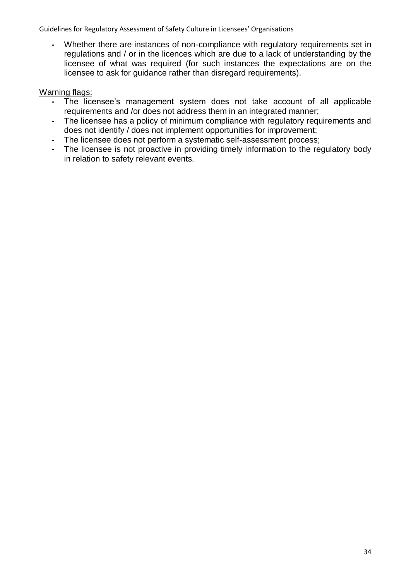**-** Whether there are instances of non-compliance with regulatory requirements set in regulations and / or in the licences which are due to a lack of understanding by the licensee of what was required (for such instances the expectations are on the licensee to ask for guidance rather than disregard requirements).

- **-** The licensee's management system does not take account of all applicable requirements and /or does not address them in an integrated manner;
- **-** The licensee has a policy of minimum compliance with regulatory requirements and does not identify / does not implement opportunities for improvement;
- **-** The licensee does not perform a systematic self-assessment process;
- **-** The licensee is not proactive in providing timely information to the regulatory body in relation to safety relevant events.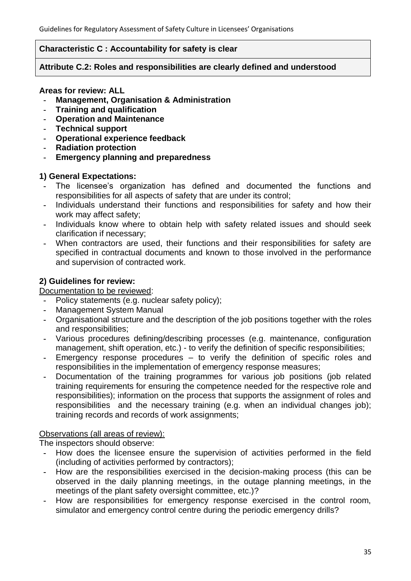## **Characteristic C : Accountability for safety is clear**

## **Attribute C.2: Roles and responsibilities are clearly defined and understood**

## **Areas for review: ALL**

- **- Management, Organisation & Administration**
- **- Training and qualification**
- **- Operation and Maintenance**
- **- Technical support**
- **- Operational experience feedback**
- **- Radiation protection**
- **- Emergency planning and preparedness**

# **1) General Expectations:**

- **-** The licensee's organization has defined and documented the functions and responsibilities for all aspects of safety that are under its control;
- **-** Individuals understand their functions and responsibilities for safety and how their work may affect safety;
- **-** Individuals know where to obtain help with safety related issues and should seek clarification if necessary;
- **-** When contractors are used, their functions and their responsibilities for safety are specified in contractual documents and known to those involved in the performance and supervision of contracted work.

# **2) Guidelines for review:**

Documentation to be reviewed:

- **-** Policy statements (e.g. nuclear safety policy);
- **-** Management System Manual
- **-** Organisational structure and the description of the job positions together with the roles and responsibilities;
- **-** Various procedures defining/describing processes (e.g. maintenance, configuration management, shift operation, etc.) - to verify the definition of specific responsibilities;
- **-** Emergency response procedures to verify the definition of specific roles and responsibilities in the implementation of emergency response measures;
- **-** Documentation of the training programmes for various job positions (job related training requirements for ensuring the competence needed for the respective role and responsibilities); information on the process that supports the assignment of roles and responsibilities and the necessary training (e.g. when an individual changes job); training records and records of work assignments;

# Observations (all areas of review):

The inspectors should observe:

- **-** How does the licensee ensure the supervision of activities performed in the field (including of activities performed by contractors);
- **-** How are the responsibilities exercised in the decision-making process (this can be observed in the daily planning meetings, in the outage planning meetings, in the meetings of the plant safety oversight committee, etc.)?
- **-** How are responsibilities for emergency response exercised in the control room, simulator and emergency control centre during the periodic emergency drills?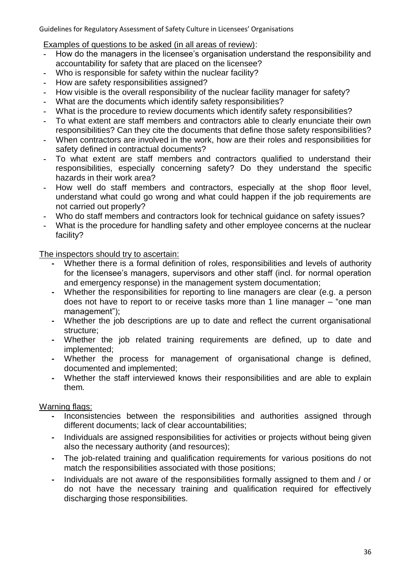Examples of questions to be asked (in all areas of review):

- **-** How do the managers in the licensee's organisation understand the responsibility and accountability for safety that are placed on the licensee?
- **-** Who is responsible for safety within the nuclear facility?
- **-** How are safety responsibilities assigned?
- **-** How visible is the overall responsibility of the nuclear facility manager for safety?
- **-** What are the documents which identify safety responsibilities?
- **-** What is the procedure to review documents which identify safety responsibilities?
- **-** To what extent are staff members and contractors able to clearly enunciate their own responsibilities? Can they cite the documents that define those safety responsibilities?
- **-** When contractors are involved in the work, how are their roles and responsibilities for safety defined in contractual documents?
- **-** To what extent are staff members and contractors qualified to understand their responsibilities, especially concerning safety? Do they understand the specific hazards in their work area?
- **-** How well do staff members and contractors, especially at the shop floor level, understand what could go wrong and what could happen if the job requirements are not carried out properly?
- **-** Who do staff members and contractors look for technical guidance on safety issues?
- **-** What is the procedure for handling safety and other employee concerns at the nuclear facility?

The inspectors should try to ascertain:

- **-** Whether there is a formal definition of roles, responsibilities and levels of authority for the licensee's managers, supervisors and other staff (incl. for normal operation and emergency response) in the management system documentation;
- **-** Whether the responsibilities for reporting to line managers are clear (e.g. a person does not have to report to or receive tasks more than 1 line manager  $-$  "one man management");
- **-** Whether the job descriptions are up to date and reflect the current organisational structure;
- **-** Whether the job related training requirements are defined, up to date and implemented;
- **-** Whether the process for management of organisational change is defined, documented and implemented;
- **-** Whether the staff interviewed knows their responsibilities and are able to explain them.

- **-** Inconsistencies between the responsibilities and authorities assigned through different documents; lack of clear accountabilities;
- **-** Individuals are assigned responsibilities for activities or projects without being given also the necessary authority (and resources);
- **-** The job-related training and qualification requirements for various positions do not match the responsibilities associated with those positions;
- **-** Individuals are not aware of the responsibilities formally assigned to them and / or do not have the necessary training and qualification required for effectively discharging those responsibilities.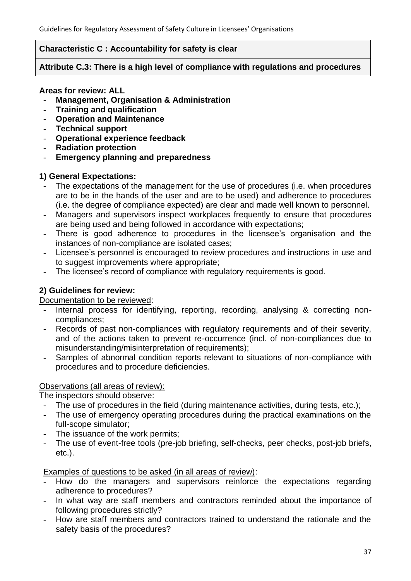## **Characteristic C : Accountability for safety is clear**

## **Attribute C.3: There is a high level of compliance with regulations and procedures**

## **Areas for review: ALL**

- **- Management, Organisation & Administration**
- **- Training and qualification**
- **- Operation and Maintenance**
- **- Technical support**
- **- Operational experience feedback**
- **- Radiation protection**
- **- Emergency planning and preparedness**

# **1) General Expectations:**

- **-** The expectations of the management for the use of procedures (i.e. when procedures are to be in the hands of the user and are to be used) and adherence to procedures (i.e. the degree of compliance expected) are clear and made well known to personnel.
- **-** Managers and supervisors inspect workplaces frequently to ensure that procedures are being used and being followed in accordance with expectations;
- **-** There is good adherence to procedures in the licensee's organisation and the instances of non-compliance are isolated cases;
- **-** Licensee's personnel is encouraged to review procedures and instructions in use and to suggest improvements where appropriate;
- **-** The licensee's record of compliance with regulatory requirements is good.

# **2) Guidelines for review:**

# Documentation to be reviewed:

- **-** Internal process for identifying, reporting, recording, analysing & correcting noncompliances;
- **-** Records of past non-compliances with regulatory requirements and of their severity, and of the actions taken to prevent re-occurrence (incl. of non-compliances due to misunderstanding/misinterpretation of requirements);
- **-** Samples of abnormal condition reports relevant to situations of non-compliance with procedures and to procedure deficiencies.

# Observations (all areas of review):

The inspectors should observe:

- **-** The use of procedures in the field (during maintenance activities, during tests, etc.);
- **-** The use of emergency operating procedures during the practical examinations on the full-scope simulator;
- **-** The issuance of the work permits;
- **-** The use of event-free tools (pre-job briefing, self-checks, peer checks, post-job briefs, etc.).

Examples of questions to be asked (in all areas of review):

- **-** How do the managers and supervisors reinforce the expectations regarding adherence to procedures?
- **-** In what way are staff members and contractors reminded about the importance of following procedures strictly?
- **-** How are staff members and contractors trained to understand the rationale and the safety basis of the procedures?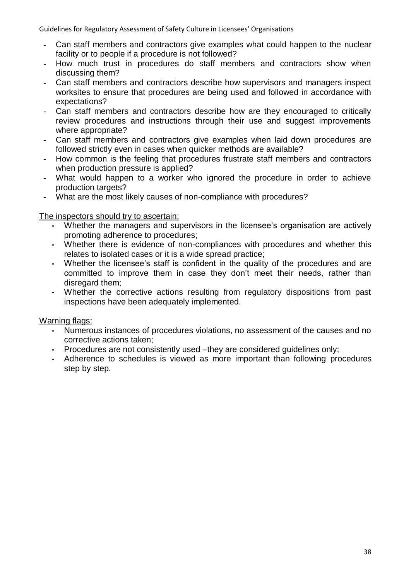- **-** Can staff members and contractors give examples what could happen to the nuclear facility or to people if a procedure is not followed?
- **-** How much trust in procedures do staff members and contractors show when discussing them?
- **-** Can staff members and contractors describe how supervisors and managers inspect worksites to ensure that procedures are being used and followed in accordance with expectations?
- **-** Can staff members and contractors describe how are they encouraged to critically review procedures and instructions through their use and suggest improvements where appropriate?
- **-** Can staff members and contractors give examples when laid down procedures are followed strictly even in cases when quicker methods are available?
- **-** How common is the feeling that procedures frustrate staff members and contractors when production pressure is applied?
- **-** What would happen to a worker who ignored the procedure in order to achieve production targets?
- **-** What are the most likely causes of non-compliance with procedures?

The inspectors should try to ascertain:

- **-** Whether the managers and supervisors in the licensee's organisation are actively promoting adherence to procedures;
- **-** Whether there is evidence of non-compliances with procedures and whether this relates to isolated cases or it is a wide spread practice;
- **-** Whether the licensee's staff is confident in the quality of the procedures and are committed to improve them in case they don't meet their needs, rather than disregard them;
- **-** Whether the corrective actions resulting from regulatory dispositions from past inspections have been adequately implemented.

- **-** Numerous instances of procedures violations, no assessment of the causes and no corrective actions taken;
- **-** Procedures are not consistently used –they are considered guidelines only;
- **-** Adherence to schedules is viewed as more important than following procedures step by step.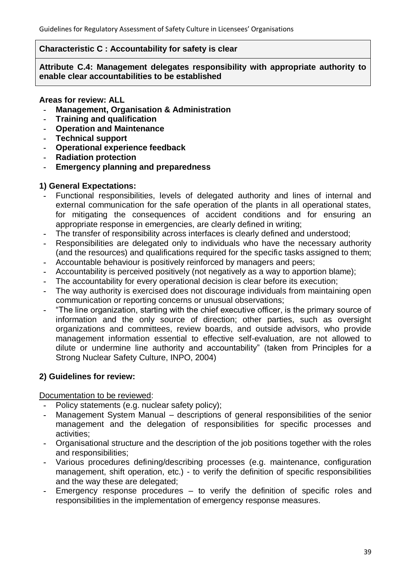### **Characteristic C : Accountability for safety is clear**

**Attribute C.4: Management delegates responsibility with appropriate authority to enable clear accountabilities to be established**

## **Areas for review: ALL**

- **- Management, Organisation & Administration**
- **- Training and qualification**
- **- Operation and Maintenance**
- **- Technical support**
- **- Operational experience feedback**
- **- Radiation protection**
- **- Emergency planning and preparedness**

## **1) General Expectations:**

- **-** Functional responsibilities, levels of delegated authority and lines of internal and external communication for the safe operation of the plants in all operational states, for mitigating the consequences of accident conditions and for ensuring an appropriate response in emergencies, are clearly defined in writing;
- **-** The transfer of responsibility across interfaces is clearly defined and understood;
- **-** Responsibilities are delegated only to individuals who have the necessary authority (and the resources) and qualifications required for the specific tasks assigned to them;
- **-** Accountable behaviour is positively reinforced by managers and peers;
- **-** Accountability is perceived positively (not negatively as a way to apportion blame);
- **-** The accountability for every operational decision is clear before its execution;
- **-** The way authority is exercised does not discourage individuals from maintaining open communication or reporting concerns or unusual observations;
- **-** ―The line organization, starting with the chief executive officer, is the primary source of information and the only source of direction; other parties, such as oversight organizations and committees, review boards, and outside advisors, who provide management information essential to effective self-evaluation, are not allowed to dilute or undermine line authority and accountability" (taken from Principles for a Strong Nuclear Safety Culture, INPO, 2004)

# **2) Guidelines for review:**

Documentation to be reviewed:

- **-** Policy statements (e.g. nuclear safety policy);
- **-** Management System Manual descriptions of general responsibilities of the senior management and the delegation of responsibilities for specific processes and activities;
- **-** Organisational structure and the description of the job positions together with the roles and responsibilities;
- **-** Various procedures defining/describing processes (e.g. maintenance, configuration management, shift operation, etc.) - to verify the definition of specific responsibilities and the way these are delegated;
- **-** Emergency response procedures to verify the definition of specific roles and responsibilities in the implementation of emergency response measures.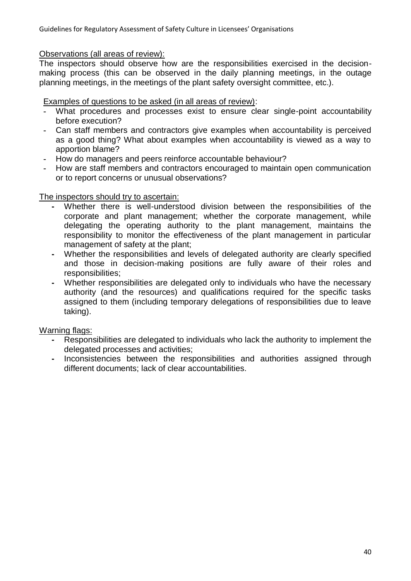### Observations (all areas of review):

The inspectors should observe how are the responsibilities exercised in the decisionmaking process (this can be observed in the daily planning meetings, in the outage planning meetings, in the meetings of the plant safety oversight committee, etc.).

Examples of questions to be asked (in all areas of review):

- **-** What procedures and processes exist to ensure clear single-point accountability before execution?
- **-** Can staff members and contractors give examples when accountability is perceived as a good thing? What about examples when accountability is viewed as a way to apportion blame?
- **-** How do managers and peers reinforce accountable behaviour?
- **-** How are staff members and contractors encouraged to maintain open communication or to report concerns or unusual observations?

The inspectors should try to ascertain:

- **-** Whether there is well-understood division between the responsibilities of the corporate and plant management; whether the corporate management, while delegating the operating authority to the plant management, maintains the responsibility to monitor the effectiveness of the plant management in particular management of safety at the plant;
- **-** Whether the responsibilities and levels of delegated authority are clearly specified and those in decision-making positions are fully aware of their roles and responsibilities;
- **-** Whether responsibilities are delegated only to individuals who have the necessary authority (and the resources) and qualifications required for the specific tasks assigned to them (including temporary delegations of responsibilities due to leave taking).

- **-** Responsibilities are delegated to individuals who lack the authority to implement the delegated processes and activities;
- **-** Inconsistencies between the responsibilities and authorities assigned through different documents; lack of clear accountabilities.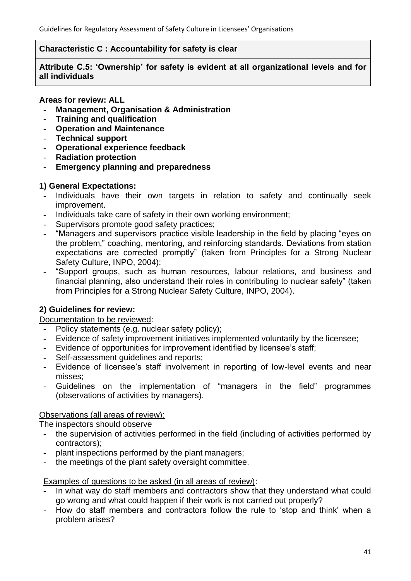## **Characteristic C : Accountability for safety is clear**

**Attribute C.5: 'Ownership' for safety is evident at all organizational levels and for all individuals**

## **Areas for review: ALL**

- **- Management, Organisation & Administration**
- **- Training and qualification**
- **- Operation and Maintenance**
- **- Technical support**
- **- Operational experience feedback**
- **- Radiation protection**
- **- Emergency planning and preparedness**

## **1) General Expectations:**

- **-** Individuals have their own targets in relation to safety and continually seek improvement.
- **-** Individuals take care of safety in their own working environment;
- **-** Supervisors promote good safety practices;
- <sup>"</sup>Managers and supervisors practice visible leadership in the field by placing "eyes on the problem," coaching, mentoring, and reinforcing standards. Deviations from station expectations are corrected promptly" (taken from Principles for a Strong Nuclear Safety Culture, INPO, 2004);
- **-** ―Support groups, such as human resources, labour relations, and business and financial planning, also understand their roles in contributing to nuclear safety" (taken from Principles for a Strong Nuclear Safety Culture, INPO, 2004).

# **2) Guidelines for review:**

Documentation to be reviewed:

- **-** Policy statements (e.g. nuclear safety policy);
- **-** Evidence of safety improvement initiatives implemented voluntarily by the licensee;
- **-** Evidence of opportunities for improvement identified by licensee's staff;
- **-** Self-assessment guidelines and reports;
- **-** Evidence of licensee's staff involvement in reporting of low-level events and near misses;
- Guidelines on the implementation of "managers in the field" programmes (observations of activities by managers).

# Observations (all areas of review):

The inspectors should observe

- **-** the supervision of activities performed in the field (including of activities performed by contractors);
- **-** plant inspections performed by the plant managers;
- **-** the meetings of the plant safety oversight committee.

# Examples of questions to be asked (in all areas of review):

- **-** In what way do staff members and contractors show that they understand what could go wrong and what could happen if their work is not carried out properly?
- **-** How do staff members and contractors follow the rule to ‗stop and think' when a problem arises?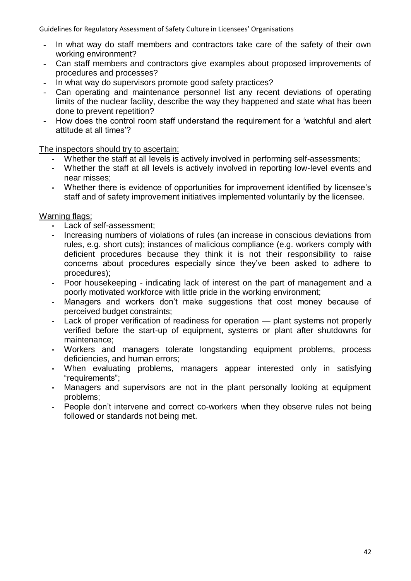- **-** In what way do staff members and contractors take care of the safety of their own working environment?
- **-** Can staff members and contractors give examples about proposed improvements of procedures and processes?
- **-** In what way do supervisors promote good safety practices?
- **-** Can operating and maintenance personnel list any recent deviations of operating limits of the nuclear facility, describe the way they happened and state what has been done to prevent repetition?
- **-** How does the control room staff understand the requirement for a ‗watchful and alert attitude at all times'?

The inspectors should try to ascertain:

- **-** Whether the staff at all levels is actively involved in performing self-assessments;
- **-** Whether the staff at all levels is actively involved in reporting low-level events and near misses;
- **-** Whether there is evidence of opportunities for improvement identified by licensee's staff and of safety improvement initiatives implemented voluntarily by the licensee.

- **-** Lack of self-assessment;
- **-** Increasing numbers of violations of rules (an increase in conscious deviations from rules, e.g. short cuts); instances of malicious compliance (e.g. workers comply with deficient procedures because they think it is not their responsibility to raise concerns about procedures especially since they've been asked to adhere to procedures);
- **-** Poor housekeeping indicating lack of interest on the part of management and a poorly motivated workforce with little pride in the working environment;
- **-** Managers and workers don't make suggestions that cost money because of perceived budget constraints;
- **-** Lack of proper verification of readiness for operation plant systems not properly verified before the start-up of equipment, systems or plant after shutdowns for maintenance;
- **-** Workers and managers tolerate longstanding equipment problems, process deficiencies, and human errors;
- **-** When evaluating problems, managers appear interested only in satisfying "requirements";
- **-** Managers and supervisors are not in the plant personally looking at equipment problems;
- **-** People don't intervene and correct co-workers when they observe rules not being followed or standards not being met.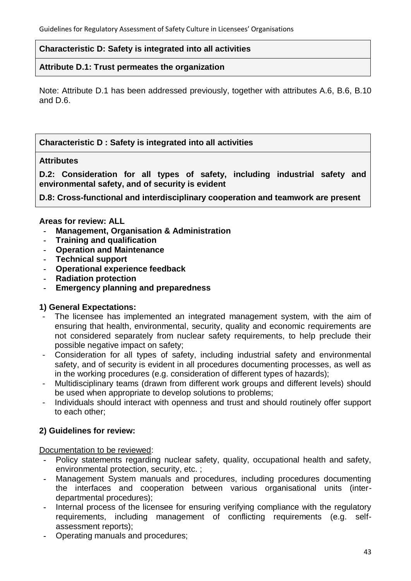### **Characteristic D: Safety is integrated into all activities**

### **Attribute D.1: Trust permeates the organization**

Note: Attribute D.1 has been addressed previously, together with attributes A.6, B.6, B.10 and D.6.

### **Characteristic D : Safety is integrated into all activities**

#### **Attributes**

**D.2: Consideration for all types of safety, including industrial safety and environmental safety, and of security is evident**

**D.8: Cross-functional and interdisciplinary cooperation and teamwork are present**

#### **Areas for review: ALL**

- **- Management, Organisation & Administration**
- **- Training and qualification**
- **- Operation and Maintenance**
- **- Technical support**
- **- Operational experience feedback**
- **- Radiation protection**
- **- Emergency planning and preparedness**

### **1) General Expectations:**

- The licensee has implemented an integrated management system, with the aim of ensuring that health, environmental, security, quality and economic requirements are not considered separately from nuclear safety requirements, to help preclude their possible negative impact on safety;
- Consideration for all types of safety, including industrial safety and environmental safety, and of security is evident in all procedures documenting processes, as well as in the working procedures (e.g. consideration of different types of hazards);
- Multidisciplinary teams (drawn from different work groups and different levels) should be used when appropriate to develop solutions to problems;
- Individuals should interact with openness and trust and should routinely offer support to each other;

# **2) Guidelines for review:**

Documentation to be reviewed:

- **-** Policy statements regarding nuclear safety, quality, occupational health and safety, environmental protection, security, etc. ;
- **-** Management System manuals and procedures, including procedures documenting the interfaces and cooperation between various organisational units (interdepartmental procedures);
- **-** Internal process of the licensee for ensuring verifying compliance with the regulatory requirements, including management of conflicting requirements (e.g. selfassessment reports);
- **-** Operating manuals and procedures;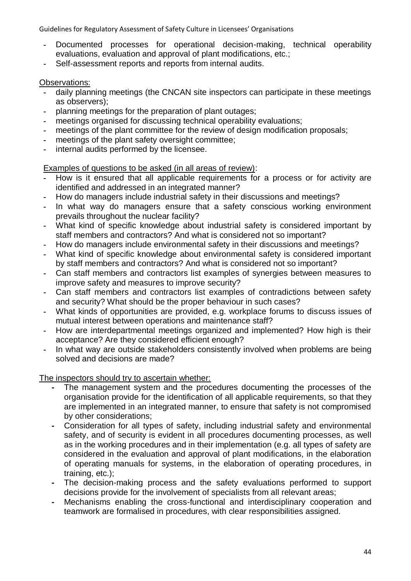- **-** Documented processes for operational decision-making, technical operability evaluations, evaluation and approval of plant modifications, etc.;
- **-** Self-assessment reports and reports from internal audits.

### Observations:

- **-** daily planning meetings (the CNCAN site inspectors can participate in these meetings as observers);
- **-** planning meetings for the preparation of plant outages;
- **-** meetings organised for discussing technical operability evaluations;
- **-** meetings of the plant committee for the review of design modification proposals;
- **-** meetings of the plant safety oversight committee;
- **-** internal audits performed by the licensee.

Examples of questions to be asked (in all areas of review):

- **-** How is it ensured that all applicable requirements for a process or for activity are identified and addressed in an integrated manner?
- **-** How do managers include industrial safety in their discussions and meetings?
- **-** In what way do managers ensure that a safety conscious working environment prevails throughout the nuclear facility?
- **-** What kind of specific knowledge about industrial safety is considered important by staff members and contractors? And what is considered not so important?
- **-** How do managers include environmental safety in their discussions and meetings?
- **-** What kind of specific knowledge about environmental safety is considered important by staff members and contractors? And what is considered not so important?
- **-** Can staff members and contractors list examples of synergies between measures to improve safety and measures to improve security?
- **-** Can staff members and contractors list examples of contradictions between safety and security? What should be the proper behaviour in such cases?
- **-** What kinds of opportunities are provided, e.g. workplace forums to discuss issues of mutual interest between operations and maintenance staff?
- **-** How are interdepartmental meetings organized and implemented? How high is their acceptance? Are they considered efficient enough?
- **-** In what way are outside stakeholders consistently involved when problems are being solved and decisions are made?

The inspectors should try to ascertain whether:

- **-** The management system and the procedures documenting the processes of the organisation provide for the identification of all applicable requirements, so that they are implemented in an integrated manner, to ensure that safety is not compromised by other considerations;
- **-** Consideration for all types of safety, including industrial safety and environmental safety, and of security is evident in all procedures documenting processes, as well as in the working procedures and in their implementation (e.g. all types of safety are considered in the evaluation and approval of plant modifications, in the elaboration of operating manuals for systems, in the elaboration of operating procedures, in training, etc.);
- **-** The decision-making process and the safety evaluations performed to support decisions provide for the involvement of specialists from all relevant areas;
- **-** Mechanisms enabling the cross-functional and interdisciplinary cooperation and teamwork are formalised in procedures, with clear responsibilities assigned.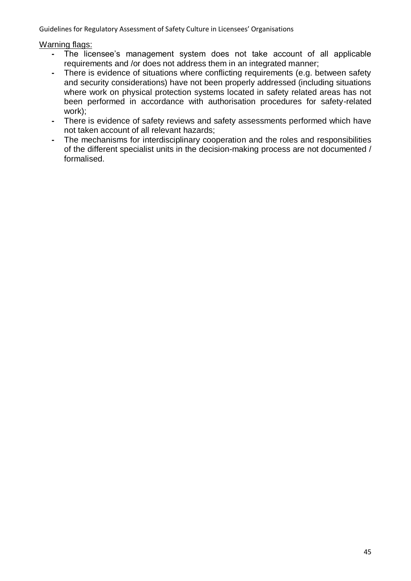- **-** The licensee's management system does not take account of all applicable requirements and /or does not address them in an integrated manner;
- **-** There is evidence of situations where conflicting requirements (e.g. between safety and security considerations) have not been properly addressed (including situations where work on physical protection systems located in safety related areas has not been performed in accordance with authorisation procedures for safety-related work);
- **-** There is evidence of safety reviews and safety assessments performed which have not taken account of all relevant hazards;
- **-** The mechanisms for interdisciplinary cooperation and the roles and responsibilities of the different specialist units in the decision-making process are not documented / formalised.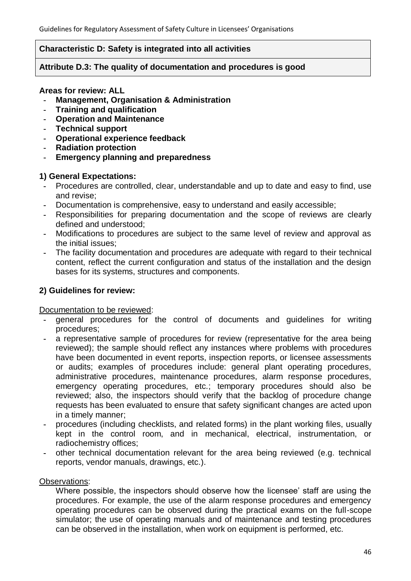### **Characteristic D: Safety is integrated into all activities**

### **Attribute D.3: The quality of documentation and procedures is good**

#### **Areas for review: ALL**

- **- Management, Organisation & Administration**
- **- Training and qualification**
- **- Operation and Maintenance**
- **- Technical support**
- **- Operational experience feedback**
- **- Radiation protection**
- **- Emergency planning and preparedness**

## **1) General Expectations:**

- **-** Procedures are controlled, clear, understandable and up to date and easy to find, use and revise;
- **-** Documentation is comprehensive, easy to understand and easily accessible;
- **-** Responsibilities for preparing documentation and the scope of reviews are clearly defined and understood;
- **-** Modifications to procedures are subject to the same level of review and approval as the initial issues;
- **-** The facility documentation and procedures are adequate with regard to their technical content, reflect the current configuration and status of the installation and the design bases for its systems, structures and components.

## **2) Guidelines for review:**

### Documentation to be reviewed:

- **-** general procedures for the control of documents and guidelines for writing procedures;
- **-** a representative sample of procedures for review (representative for the area being reviewed); the sample should reflect any instances where problems with procedures have been documented in event reports, inspection reports, or licensee assessments or audits; examples of procedures include: general plant operating procedures, administrative procedures, maintenance procedures, alarm response procedures, emergency operating procedures, etc.; temporary procedures should also be reviewed; also, the inspectors should verify that the backlog of procedure change requests has been evaluated to ensure that safety significant changes are acted upon in a timely manner;
- **-** procedures (including checklists, and related forms) in the plant working files, usually kept in the control room, and in mechanical, electrical, instrumentation, or radiochemistry offices;
- **-** other technical documentation relevant for the area being reviewed (e.g. technical reports, vendor manuals, drawings, etc.).

### Observations:

Where possible, the inspectors should observe how the licensee' staff are using the procedures. For example, the use of the alarm response procedures and emergency operating procedures can be observed during the practical exams on the full-scope simulator; the use of operating manuals and of maintenance and testing procedures can be observed in the installation, when work on equipment is performed, etc.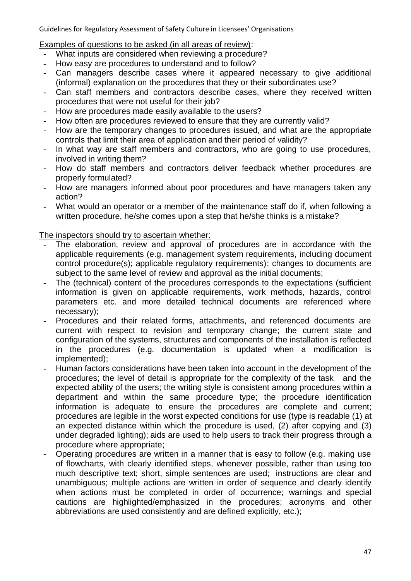Examples of questions to be asked (in all areas of review):

- **-** What inputs are considered when reviewing a procedure?
- **-** How easy are procedures to understand and to follow?
- **-** Can managers describe cases where it appeared necessary to give additional (informal) explanation on the procedures that they or their subordinates use?
- **-** Can staff members and contractors describe cases, where they received written procedures that were not useful for their job?
- **-** How are procedures made easily available to the users?
- **-** How often are procedures reviewed to ensure that they are currently valid?
- **-** How are the temporary changes to procedures issued, and what are the appropriate controls that limit their area of application and their period of validity?
- **-** In what way are staff members and contractors, who are going to use procedures, involved in writing them?
- **-** How do staff members and contractors deliver feedback whether procedures are properly formulated?
- **-** How are managers informed about poor procedures and have managers taken any action?
- **-** What would an operator or a member of the maintenance staff do if, when following a written procedure, he/she comes upon a step that he/she thinks is a mistake?

### The inspectors should try to ascertain whether:

- The elaboration, review and approval of procedures are in accordance with the applicable requirements (e.g. management system requirements, including document control procedure(s); applicable regulatory requirements); changes to documents are subject to the same level of review and approval as the initial documents;
- **-** The (technical) content of the procedures corresponds to the expectations (sufficient information is given on applicable requirements, work methods, hazards, control parameters etc. and more detailed technical documents are referenced where necessary);
- **-** Procedures and their related forms, attachments, and referenced documents are current with respect to revision and temporary change; the current state and configuration of the systems, structures and components of the installation is reflected in the procedures (e.g. documentation is updated when a modification is implemented);
- **-** Human factors considerations have been taken into account in the development of the procedures; the level of detail is appropriate for the complexity of the task and the expected ability of the users; the writing style is consistent among procedures within a department and within the same procedure type; the procedure identification information is adequate to ensure the procedures are complete and current; procedures are legible in the worst expected conditions for use (type is readable (1) at an expected distance within which the procedure is used, (2) after copying and (3) under degraded lighting); aids are used to help users to track their progress through a procedure where appropriate;
- **-** Operating procedures are written in a manner that is easy to follow (e.g. making use of flowcharts, with clearly identified steps, whenever possible, rather than using too much descriptive text; short, simple sentences are used; instructions are clear and unambiguous; multiple actions are written in order of sequence and clearly identify when actions must be completed in order of occurrence; warnings and special cautions are highlighted/emphasized in the procedures; acronyms and other abbreviations are used consistently and are defined explicitly, etc.);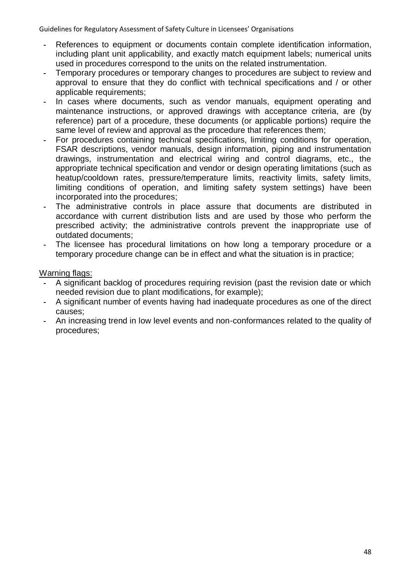- **-** References to equipment or documents contain complete identification information, including plant unit applicability, and exactly match equipment labels; numerical units used in procedures correspond to the units on the related instrumentation.
- **-** Temporary procedures or temporary changes to procedures are subject to review and approval to ensure that they do conflict with technical specifications and / or other applicable requirements;
- **-** In cases where documents, such as vendor manuals, equipment operating and maintenance instructions, or approved drawings with acceptance criteria, are (by reference) part of a procedure, these documents (or applicable portions) require the same level of review and approval as the procedure that references them;
- **-** For procedures containing technical specifications, limiting conditions for operation, FSAR descriptions, vendor manuals, design information, piping and instrumentation drawings, instrumentation and electrical wiring and control diagrams, etc., the appropriate technical specification and vendor or design operating limitations (such as heatup/cooldown rates, pressure/temperature limits, reactivity limits, safety limits, limiting conditions of operation, and limiting safety system settings) have been incorporated into the procedures;
- **-** The administrative controls in place assure that documents are distributed in accordance with current distribution lists and are used by those who perform the prescribed activity; the administrative controls prevent the inappropriate use of outdated documents;
- **-** The licensee has procedural limitations on how long a temporary procedure or a temporary procedure change can be in effect and what the situation is in practice;

- **-** A significant backlog of procedures requiring revision (past the revision date or which needed revision due to plant modifications, for example);
- **-** A significant number of events having had inadequate procedures as one of the direct causes;
- **-** An increasing trend in low level events and non-conformances related to the quality of procedures;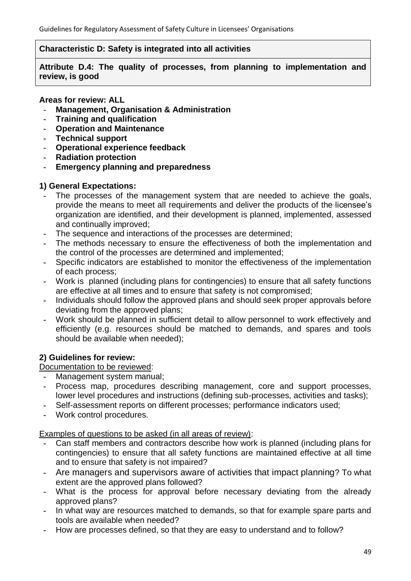## **Characteristic D: Safety is integrated into all activities**

**Attribute D.4: The quality of processes, from planning to implementation and review, is good**

## **Areas for review: ALL**

- **- Management, Organisation & Administration**
- **- Training and qualification**
- **- Operation and Maintenance**
- **- Technical support**
- **- Operational experience feedback**
- **- Radiation protection**
- **- Emergency planning and preparedness**

# **1) General Expectations:**

- **-** The processes of the management system that are needed to achieve the goals, provide the means to meet all requirements and deliver the products of the licensee's organization are identified, and their development is planned, implemented, assessed and continually improved;
- **-** The sequence and interactions of the processes are determined;
- **-** The methods necessary to ensure the effectiveness of both the implementation and the control of the processes are determined and implemented;
- **-** Specific indicators are established to monitor the effectiveness of the implementation of each process;
- **-** Work is planned (including plans for contingencies) to ensure that all safety functions are effective at all times and to ensure that safety is not compromised;
- **-** Individuals should follow the approved plans and should seek proper approvals before deviating from the approved plans;
- **-** Work should be planned in sufficient detail to allow personnel to work effectively and efficiently (e.g. resources should be matched to demands, and spares and tools should be available when needed);

# **2) Guidelines for review:**

Documentation to be reviewed:

- **-** Management system manual;
- **-** Process map, procedures describing management, core and support processes, lower level procedures and instructions (defining sub-processes, activities and tasks);
- **-** Self-assessment reports on different processes; performance indicators used;
- **-** Work control procedures.

Examples of questions to be asked (in all areas of review):

- **-** Can staff members and contractors describe how work is planned (including plans for contingencies) to ensure that all safety functions are maintained effective at all time and to ensure that safety is not impaired?
- **-** Are managers and supervisors aware of activities that impact planning? To what extent are the approved plans followed?
- **-** What is the process for approval before necessary deviating from the already approved plans?
- **-** In what way are resources matched to demands, so that for example spare parts and tools are available when needed?
- **-** How are processes defined, so that they are easy to understand and to follow?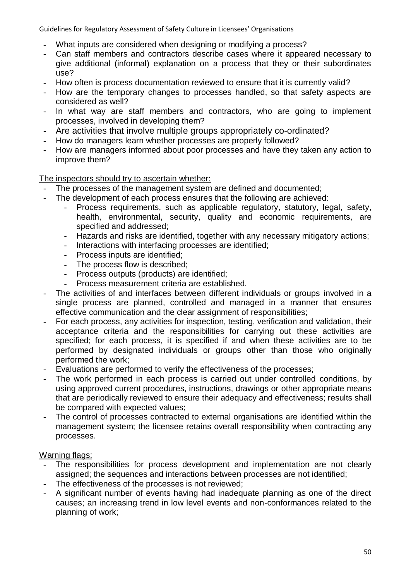- **-** What inputs are considered when designing or modifying a process?
- **-** Can staff members and contractors describe cases where it appeared necessary to give additional (informal) explanation on a process that they or their subordinates use?
- **-** How often is process documentation reviewed to ensure that it is currently valid?
- **-** How are the temporary changes to processes handled, so that safety aspects are considered as well?
- **-** In what way are staff members and contractors, who are going to implement processes, involved in developing them?
- **-** Are activities that involve multiple groups appropriately co-ordinated?
- **-** How do managers learn whether processes are properly followed?
- **-** How are managers informed about poor processes and have they taken any action to improve them?

The inspectors should try to ascertain whether:

- **-** The processes of the management system are defined and documented;
- **-** The development of each process ensures that the following are achieved:
	- **-** Process requirements, such as applicable regulatory, statutory, legal, safety, health, environmental, security, quality and economic requirements, are specified and addressed;
	- **-** Hazards and risks are identified, together with any necessary mitigatory actions;
	- **-** Interactions with interfacing processes are identified;
	- **-** Process inputs are identified;
	- **-** The process flow is described;
	- **-** Process outputs (products) are identified;
	- **-** Process measurement criteria are established.
- **-** The activities of and interfaces between different individuals or groups involved in a single process are planned, controlled and managed in a manner that ensures effective communication and the clear assignment of responsibilities;
- **-** For each process, any activities for inspection, testing, verification and validation, their acceptance criteria and the responsibilities for carrying out these activities are specified; for each process, it is specified if and when these activities are to be performed by designated individuals or groups other than those who originally performed the work;
- **-** Evaluations are performed to verify the effectiveness of the processes;
- **-** The work performed in each process is carried out under controlled conditions, by using approved current procedures, instructions, drawings or other appropriate means that are periodically reviewed to ensure their adequacy and effectiveness; results shall be compared with expected values;
- **-** The control of processes contracted to external organisations are identified within the management system; the licensee retains overall responsibility when contracting any processes.

- **-** The responsibilities for process development and implementation are not clearly assigned; the sequences and interactions between processes are not identified;
- **-** The effectiveness of the processes is not reviewed;
- **-** A significant number of events having had inadequate planning as one of the direct causes; an increasing trend in low level events and non-conformances related to the planning of work;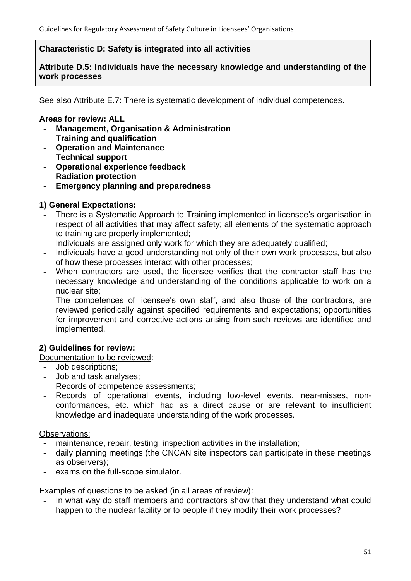## **Characteristic D: Safety is integrated into all activities**

**Attribute D.5: Individuals have the necessary knowledge and understanding of the work processes**

See also Attribute E.7: There is systematic development of individual competences.

## **Areas for review: ALL**

- **- Management, Organisation & Administration**
- **- Training and qualification**
- **- Operation and Maintenance**
- **- Technical support**
- **- Operational experience feedback**
- **- Radiation protection**
- **- Emergency planning and preparedness**

## **1) General Expectations:**

- **-** There is a Systematic Approach to Training implemented in licensee's organisation in respect of all activities that may affect safety; all elements of the systematic approach to training are properly implemented;
- **-** Individuals are assigned only work for which they are adequately qualified;
- **-** Individuals have a good understanding not only of their own work processes, but also of how these processes interact with other processes;
- **-** When contractors are used, the licensee verifies that the contractor staff has the necessary knowledge and understanding of the conditions applicable to work on a nuclear site;
- **-** The competences of licensee's own staff, and also those of the contractors, are reviewed periodically against specified requirements and expectations; opportunities for improvement and corrective actions arising from such reviews are identified and implemented.

# **2) Guidelines for review:**

### Documentation to be reviewed:

- **-** Job descriptions;
- **-** Job and task analyses;
- **-** Records of competence assessments;
- **-** Records of operational events, including low-level events, near-misses, nonconformances, etc. which had as a direct cause or are relevant to insufficient knowledge and inadequate understanding of the work processes.

### Observations:

- **-** maintenance, repair, testing, inspection activities in the installation;
- **-** daily planning meetings (the CNCAN site inspectors can participate in these meetings as observers);
- **-** exams on the full-scope simulator.

### Examples of questions to be asked (in all areas of review):

**-** In what way do staff members and contractors show that they understand what could happen to the nuclear facility or to people if they modify their work processes?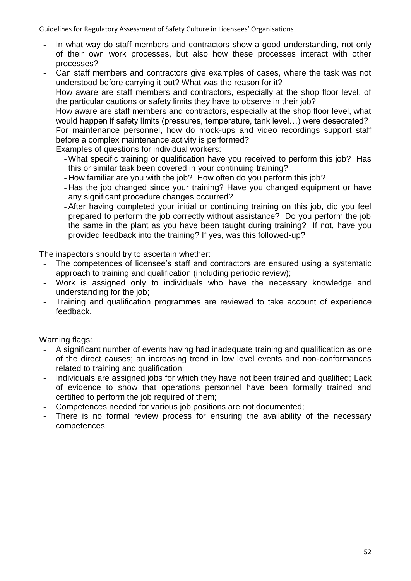- **-** In what way do staff members and contractors show a good understanding, not only of their own work processes, but also how these processes interact with other processes?
- **-** Can staff members and contractors give examples of cases, where the task was not understood before carrying it out? What was the reason for it?
- **-** How aware are staff members and contractors, especially at the shop floor level, of the particular cautions or safety limits they have to observe in their job?
- **-** How aware are staff members and contractors, especially at the shop floor level, what would happen if safety limits (pressures, temperature, tank level…) were desecrated?
- **-** For maintenance personnel, how do mock-ups and video recordings support staff before a complex maintenance activity is performed?
- **-** Examples of questions for individual workers:
	- **-** What specific training or qualification have you received to perform this job? Has this or similar task been covered in your continuing training?
	- **-** How familiar are you with the job? How often do you perform this job?
	- **-** Has the job changed since your training? Have you changed equipment or have any significant procedure changes occurred?
	- **-** After having completed your initial or continuing training on this job, did you feel prepared to perform the job correctly without assistance? Do you perform the job the same in the plant as you have been taught during training? If not, have you provided feedback into the training? If yes, was this followed-up?

# The inspectors should try to ascertain whether:

- **-** The competences of licensee's staff and contractors are ensured using a systematic approach to training and qualification (including periodic review);
- **-** Work is assigned only to individuals who have the necessary knowledge and understanding for the job;
- **-** Training and qualification programmes are reviewed to take account of experience feedback.

- **-** A significant number of events having had inadequate training and qualification as one of the direct causes; an increasing trend in low level events and non-conformances related to training and qualification;
- **-** Individuals are assigned jobs for which they have not been trained and qualified; Lack of evidence to show that operations personnel have been formally trained and certified to perform the job required of them;
- **-** Competences needed for various job positions are not documented;
- **-** There is no formal review process for ensuring the availability of the necessary competences.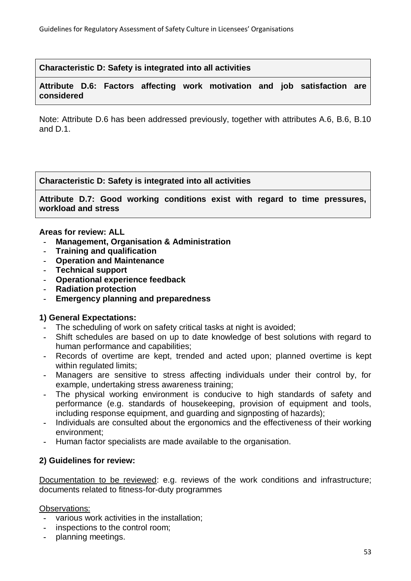**Characteristic D: Safety is integrated into all activities**

## **Attribute D.6: Factors affecting work motivation and job satisfaction are considered**

Note: Attribute D.6 has been addressed previously, together with attributes A.6, B.6, B.10 and D.1.

**Characteristic D: Safety is integrated into all activities**

**Attribute D.7: Good working conditions exist with regard to time pressures, workload and stress**

### **Areas for review: ALL**

- **- Management, Organisation & Administration**
- **- Training and qualification**
- **- Operation and Maintenance**
- **- Technical support**
- **- Operational experience feedback**
- **- Radiation protection**
- **- Emergency planning and preparedness**

### **1) General Expectations:**

- **-** The scheduling of work on safety critical tasks at night is avoided;
- **-** Shift schedules are based on up to date knowledge of best solutions with regard to human performance and capabilities;
- **-** Records of overtime are kept, trended and acted upon; planned overtime is kept within regulated limits;
- **-** Managers are sensitive to stress affecting individuals under their control by, for example, undertaking stress awareness training;
- **-** The physical working environment is conducive to high standards of safety and performance (e.g. standards of housekeeping, provision of equipment and tools, including response equipment, and guarding and signposting of hazards);
- **-** Individuals are consulted about the ergonomics and the effectiveness of their working environment;
- **-** Human factor specialists are made available to the organisation.

# **2) Guidelines for review:**

Documentation to be reviewed: e.g. reviews of the work conditions and infrastructure; documents related to fitness-for-duty programmes

### Observations:

- **-** various work activities in the installation;
- **-** inspections to the control room;
- **-** planning meetings.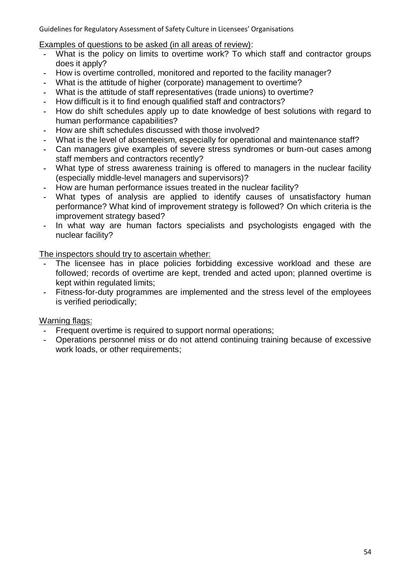Examples of questions to be asked (in all areas of review):

- **-** What is the policy on limits to overtime work? To which staff and contractor groups does it apply?
- **-** How is overtime controlled, monitored and reported to the facility manager?
- **-** What is the attitude of higher (corporate) management to overtime?
- **-** What is the attitude of staff representatives (trade unions) to overtime?
- **-** How difficult is it to find enough qualified staff and contractors?
- **-** How do shift schedules apply up to date knowledge of best solutions with regard to human performance capabilities?
- **-** How are shift schedules discussed with those involved?
- **-** What is the level of absenteeism, especially for operational and maintenance staff?
- **-** Can managers give examples of severe stress syndromes or burn-out cases among staff members and contractors recently?
- **-** What type of stress awareness training is offered to managers in the nuclear facility (especially middle-level managers and supervisors)?
- **-** How are human performance issues treated in the nuclear facility?
- **-** What types of analysis are applied to identify causes of unsatisfactory human performance? What kind of improvement strategy is followed? On which criteria is the improvement strategy based?
- **-** In what way are human factors specialists and psychologists engaged with the nuclear facility?

The inspectors should try to ascertain whether:

- The licensee has in place policies forbidding excessive workload and these are followed; records of overtime are kept, trended and acted upon; planned overtime is kept within regulated limits;
- **-** Fitness-for-duty programmes are implemented and the stress level of the employees is verified periodically;

- **-** Frequent overtime is required to support normal operations;
- **-** Operations personnel miss or do not attend continuing training because of excessive work loads, or other requirements;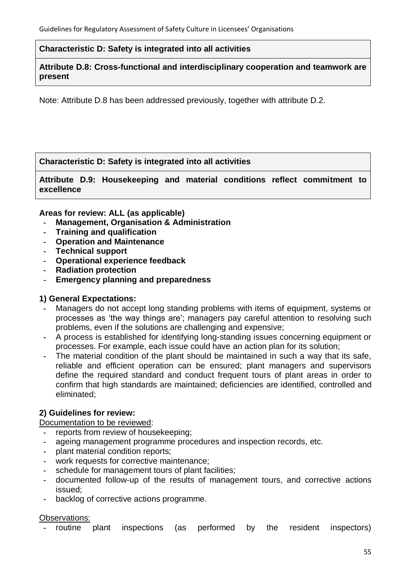### **Characteristic D: Safety is integrated into all activities**

**Attribute D.8: Cross-functional and interdisciplinary cooperation and teamwork are present**

Note: Attribute D.8 has been addressed previously, together with attribute D.2.

# **Characteristic D: Safety is integrated into all activities**

**Attribute D.9: Housekeeping and material conditions reflect commitment to excellence**

## **Areas for review: ALL (as applicable)**

- **- Management, Organisation & Administration**
- **- Training and qualification**
- **- Operation and Maintenance**
- **- Technical support**
- **- Operational experience feedback**
- **- Radiation protection**
- **- Emergency planning and preparedness**

# **1) General Expectations:**

- **-** Managers do not accept long standing problems with items of equipment, systems or processes as ‗the way things are'; managers pay careful attention to resolving such problems, even if the solutions are challenging and expensive;
- **-** A process is established for identifying long-standing issues concerning equipment or processes. For example, each issue could have an action plan for its solution;
- **-** The material condition of the plant should be maintained in such a way that its safe, reliable and efficient operation can be ensured; plant managers and supervisors define the required standard and conduct frequent tours of plant areas in order to confirm that high standards are maintained; deficiencies are identified, controlled and eliminated;

# **2) Guidelines for review:**

Documentation to be reviewed:

- **-** reports from review of housekeeping;
- **-** ageing management programme procedures and inspection records, etc.
- **-** plant material condition reports;
- **-** work requests for corrective maintenance;
- **-** schedule for management tours of plant facilities;
- **-** documented follow-up of the results of management tours, and corrective actions issued;
- **-** backlog of corrective actions programme.

### Observations:

**-** routine plant inspections (as performed by the resident inspectors)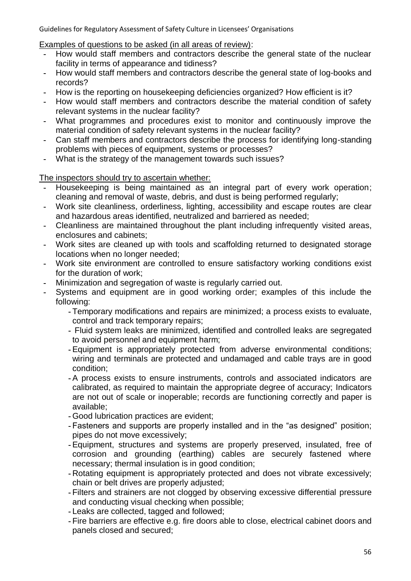Examples of questions to be asked (in all areas of review):

- **-** How would staff members and contractors describe the general state of the nuclear facility in terms of appearance and tidiness?
- **-** How would staff members and contractors describe the general state of log-books and records?
- **-** How is the reporting on housekeeping deficiencies organized? How efficient is it?
- **-** How would staff members and contractors describe the material condition of safety relevant systems in the nuclear facility?
- **-** What programmes and procedures exist to monitor and continuously improve the material condition of safety relevant systems in the nuclear facility?
- **-** Can staff members and contractors describe the process for identifying long-standing problems with pieces of equipment, systems or processes?
- **-** What is the strategy of the management towards such issues?

The inspectors should try to ascertain whether:

- **-** Housekeeping is being maintained as an integral part of every work operation; cleaning and removal of waste, debris, and dust is being performed regularly;
- **-** Work site cleanliness, orderliness, lighting, accessibility and escape routes are clear and hazardous areas identified, neutralized and barriered as needed;
- **-** Cleanliness are maintained throughout the plant including infrequently visited areas, enclosures and cabinets;
- **-** Work sites are cleaned up with tools and scaffolding returned to designated storage locations when no longer needed;
- **-** Work site environment are controlled to ensure satisfactory working conditions exist for the duration of work;
- **-** Minimization and segregation of waste is regularly carried out.
- **-** Systems and equipment are in good working order; examples of this include the following:
	- **-** Temporary modifications and repairs are minimized; a process exists to evaluate, control and track temporary repairs;
	- **-** Fluid system leaks are minimized, identified and controlled leaks are segregated to avoid personnel and equipment harm;
	- **-** Equipment is appropriately protected from adverse environmental conditions; wiring and terminals are protected and undamaged and cable trays are in good condition;
	- **-** A process exists to ensure instruments, controls and associated indicators are calibrated, as required to maintain the appropriate degree of accuracy; Indicators are not out of scale or inoperable; records are functioning correctly and paper is available;
	- **-** Good lubrication practices are evident;
	- Fasteners and supports are properly installed and in the "as designed" position; pipes do not move excessively;
	- **-** Equipment, structures and systems are properly preserved, insulated, free of corrosion and grounding (earthing) cables are securely fastened where necessary; thermal insulation is in good condition;
	- **-** Rotating equipment is appropriately protected and does not vibrate excessively; chain or belt drives are properly adjusted;
	- **-** Filters and strainers are not clogged by observing excessive differential pressure and conducting visual checking when possible;
	- **-** Leaks are collected, tagged and followed;
	- **-** Fire barriers are effective e.g. fire doors able to close, electrical cabinet doors and panels closed and secured;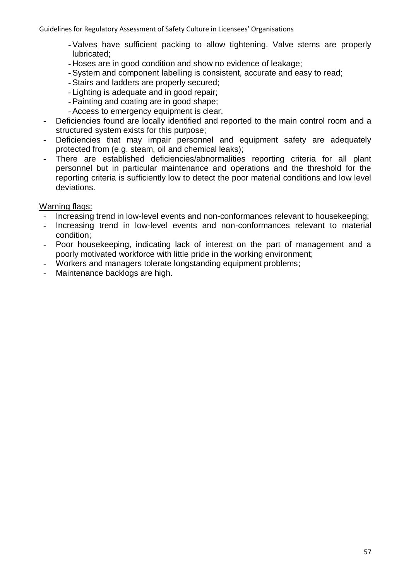- **-** Valves have sufficient packing to allow tightening. Valve stems are properly lubricated;
- **-** Hoses are in good condition and show no evidence of leakage;
- **-** System and component labelling is consistent, accurate and easy to read;
- **-** Stairs and ladders are properly secured;
- **-** Lighting is adequate and in good repair;
- **-** Painting and coating are in good shape;
- **-** Access to emergency equipment is clear.
- **-** Deficiencies found are locally identified and reported to the main control room and a structured system exists for this purpose;
- **-** Deficiencies that may impair personnel and equipment safety are adequately protected from (e.g. steam, oil and chemical leaks);
- **-** There are established deficiencies/abnormalities reporting criteria for all plant personnel but in particular maintenance and operations and the threshold for the reporting criteria is sufficiently low to detect the poor material conditions and low level deviations.

- **-** Increasing trend in low-level events and non-conformances relevant to housekeeping;
- **-** Increasing trend in low-level events and non-conformances relevant to material condition;
- **-** Poor housekeeping, indicating lack of interest on the part of management and a poorly motivated workforce with little pride in the working environment;
- **-** Workers and managers tolerate longstanding equipment problems;
- **-** Maintenance backlogs are high.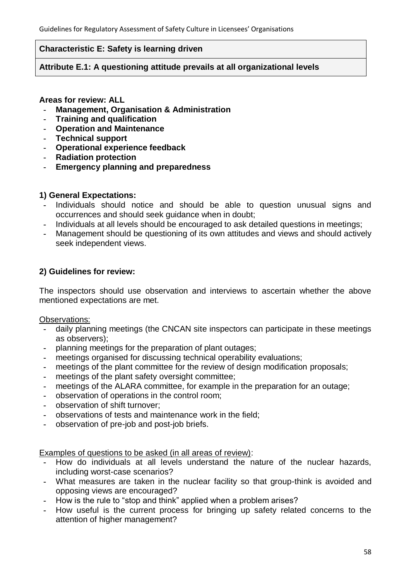## **Characteristic E: Safety is learning driven**

### **Attribute E.1: A questioning attitude prevails at all organizational levels**

### **Areas for review: ALL**

- **- Management, Organisation & Administration**
- **- Training and qualification**
- **- Operation and Maintenance**
- **- Technical support**
- **- Operational experience feedback**
- **- Radiation protection**
- **- Emergency planning and preparedness**

## **1) General Expectations:**

- **-** Individuals should notice and should be able to question unusual signs and occurrences and should seek guidance when in doubt;
- **-** Individuals at all levels should be encouraged to ask detailed questions in meetings;
- **-** Management should be questioning of its own attitudes and views and should actively seek independent views.

## **2) Guidelines for review:**

The inspectors should use observation and interviews to ascertain whether the above mentioned expectations are met.

Observations:

- **-** daily planning meetings (the CNCAN site inspectors can participate in these meetings as observers);
- **-** planning meetings for the preparation of plant outages;
- **-** meetings organised for discussing technical operability evaluations;
- **-** meetings of the plant committee for the review of design modification proposals;
- **-** meetings of the plant safety oversight committee;
- **-** meetings of the ALARA committee, for example in the preparation for an outage;
- **-** observation of operations in the control room;
- **-** observation of shift turnover;
- **-** observations of tests and maintenance work in the field;
- **-** observation of pre-job and post-job briefs.

Examples of questions to be asked (in all areas of review):

- **-** How do individuals at all levels understand the nature of the nuclear hazards, including worst-case scenarios?
- **-** What measures are taken in the nuclear facility so that group-think is avoided and opposing views are encouraged?
- How is the rule to "stop and think" applied when a problem arises?
- **-** How useful is the current process for bringing up safety related concerns to the attention of higher management?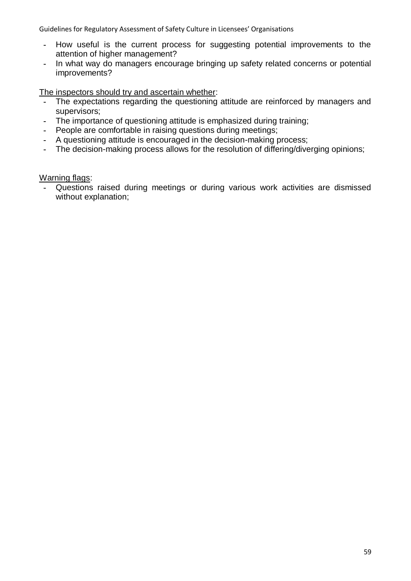- **-** How useful is the current process for suggesting potential improvements to the attention of higher management?
- **-** In what way do managers encourage bringing up safety related concerns or potential improvements?

The inspectors should try and ascertain whether:

- **-** The expectations regarding the questioning attitude are reinforced by managers and supervisors;
- **-** The importance of questioning attitude is emphasized during training;
- **-** People are comfortable in raising questions during meetings;
- **-** A questioning attitude is encouraged in the decision-making process;
- **-** The decision-making process allows for the resolution of differing/diverging opinions;

Warning flags:

**-** Questions raised during meetings or during various work activities are dismissed without explanation;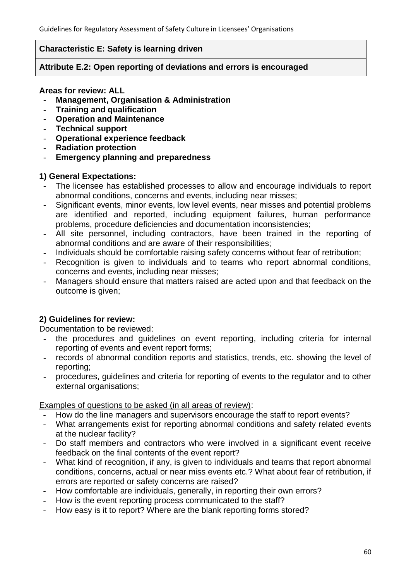## **Characteristic E: Safety is learning driven**

## **Attribute E.2: Open reporting of deviations and errors is encouraged**

### **Areas for review: ALL**

- **- Management, Organisation & Administration**
- **- Training and qualification**
- **- Operation and Maintenance**
- **- Technical support**
- **- Operational experience feedback**
- **- Radiation protection**
- **- Emergency planning and preparedness**

# **1) General Expectations:**

- **-** The licensee has established processes to allow and encourage individuals to report abnormal conditions, concerns and events, including near misses;
- **-** Significant events, minor events, low level events, near misses and potential problems are identified and reported, including equipment failures, human performance problems, procedure deficiencies and documentation inconsistencies;
- **-** All site personnel, including contractors, have been trained in the reporting of abnormal conditions and are aware of their responsibilities;
- **-** Individuals should be comfortable raising safety concerns without fear of retribution;
- **-** Recognition is given to individuals and to teams who report abnormal conditions, concerns and events, including near misses;
- **-** Managers should ensure that matters raised are acted upon and that feedback on the outcome is given;

# **2) Guidelines for review:**

Documentation to be reviewed:

- **-** the procedures and guidelines on event reporting, including criteria for internal reporting of events and event report forms;
- **-** records of abnormal condition reports and statistics, trends, etc. showing the level of reporting;
- **-** procedures, guidelines and criteria for reporting of events to the regulator and to other external organisations;

# Examples of questions to be asked (in all areas of review):

- **-** How do the line managers and supervisors encourage the staff to report events?
- **-** What arrangements exist for reporting abnormal conditions and safety related events at the nuclear facility?
- **-** Do staff members and contractors who were involved in a significant event receive feedback on the final contents of the event report?
- **-** What kind of recognition, if any, is given to individuals and teams that report abnormal conditions, concerns, actual or near miss events etc.? What about fear of retribution, if errors are reported or safety concerns are raised?
- **-** How comfortable are individuals, generally, in reporting their own errors?
- **-** How is the event reporting process communicated to the staff?
- **-** How easy is it to report? Where are the blank reporting forms stored?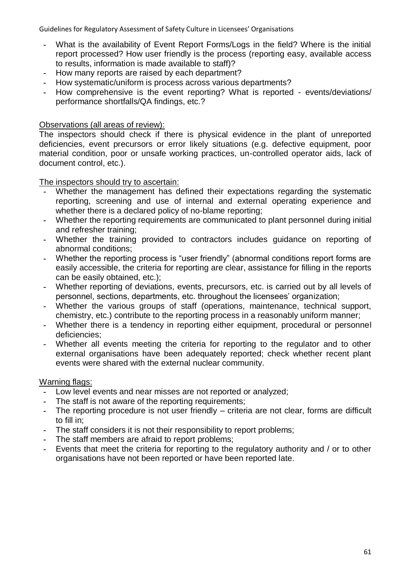- **-** What is the availability of Event Report Forms/Logs in the field? Where is the initial report processed? How user friendly is the process (reporting easy, available access to results, information is made available to staff)?
- **-** How many reports are raised by each department?
- **-** How systematic/uniform is process across various departments?
- **-** How comprehensive is the event reporting? What is reported events/deviations/ performance shortfalls/QA findings, etc.?

### Observations (all areas of review):

The inspectors should check if there is physical evidence in the plant of unreported deficiencies, event precursors or error likely situations (e.g. defective equipment, poor material condition, poor or unsafe working practices, un-controlled operator aids, lack of document control, etc.).

The inspectors should try to ascertain:

- **-** Whether the management has defined their expectations regarding the systematic reporting, screening and use of internal and external operating experience and whether there is a declared policy of no-blame reporting;
- **-** Whether the reporting requirements are communicated to plant personnel during initial and refresher training;
- **-** Whether the training provided to contractors includes guidance on reporting of abnormal conditions;
- Whether the reporting process is "user friendly" (abnormal conditions report forms are easily accessible, the criteria for reporting are clear, assistance for filling in the reports can be easily obtained, etc.);
- **-** Whether reporting of deviations, events, precursors, etc. is carried out by all levels of personnel, sections, departments, etc. throughout the licensees' organization;
- **-** Whether the various groups of staff (operations, maintenance, technical support, chemistry, etc.) contribute to the reporting process in a reasonably uniform manner;
- **-** Whether there is a tendency in reporting either equipment, procedural or personnel deficiencies;
- **-** Whether all events meeting the criteria for reporting to the regulator and to other external organisations have been adequately reported; check whether recent plant events were shared with the external nuclear community.

- **-** Low level events and near misses are not reported or analyzed;
- **-** The staff is not aware of the reporting requirements;
- **-** The reporting procedure is not user friendly criteria are not clear, forms are difficult to fill in;
- **-** The staff considers it is not their responsibility to report problems;
- **-** The staff members are afraid to report problems;
- **-** Events that meet the criteria for reporting to the regulatory authority and / or to other organisations have not been reported or have been reported late.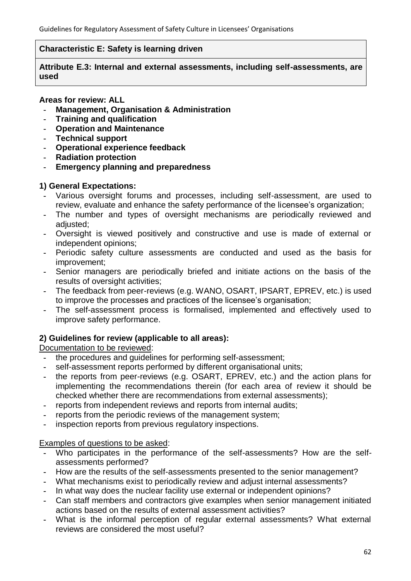## **Characteristic E: Safety is learning driven**

**Attribute E.3: Internal and external assessments, including self-assessments, are used**

## **Areas for review: ALL**

- **- Management, Organisation & Administration**
- **- Training and qualification**
- **- Operation and Maintenance**
- **- Technical support**
- **- Operational experience feedback**
- **- Radiation protection**
- **- Emergency planning and preparedness**

## **1) General Expectations:**

- **-** Various oversight forums and processes, including self-assessment, are used to review, evaluate and enhance the safety performance of the licensee's organization;
- **-** The number and types of oversight mechanisms are periodically reviewed and adiusted:
- **-** Oversight is viewed positively and constructive and use is made of external or independent opinions;
- **-** Periodic safety culture assessments are conducted and used as the basis for improvement;
- **-** Senior managers are periodically briefed and initiate actions on the basis of the results of oversight activities;
- **-** The feedback from peer-reviews (e.g. WANO, OSART, IPSART, EPREV, etc.) is used to improve the processes and practices of the licensee's organisation;
- **-** The self-assessment process is formalised, implemented and effectively used to improve safety performance.

# **2) Guidelines for review (applicable to all areas):**

# Documentation to be reviewed:

- **-** the procedures and guidelines for performing self-assessment;
- **-** self-assessment reports performed by different organisational units;
- **-** the reports from peer-reviews (e.g. OSART, EPREV, etc.) and the action plans for implementing the recommendations therein (for each area of review it should be checked whether there are recommendations from external assessments);
- **-** reports from independent reviews and reports from internal audits;
- **-** reports from the periodic reviews of the management system;
- **-** inspection reports from previous regulatory inspections.

### Examples of questions to be asked:

- **-** Who participates in the performance of the self-assessments? How are the selfassessments performed?
- **-** How are the results of the self-assessments presented to the senior management?
- **-** What mechanisms exist to periodically review and adjust internal assessments?
- **-** In what way does the nuclear facility use external or independent opinions?
- **-** Can staff members and contractors give examples when senior management initiated actions based on the results of external assessment activities?
- **-** What is the informal perception of regular external assessments? What external reviews are considered the most useful?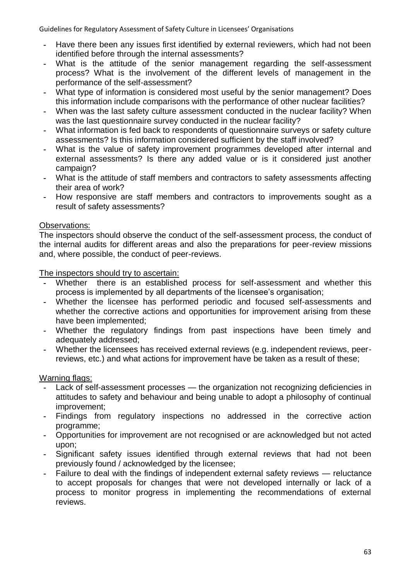- **-** Have there been any issues first identified by external reviewers, which had not been identified before through the internal assessments?
- **-** What is the attitude of the senior management regarding the self-assessment process? What is the involvement of the different levels of management in the performance of the self-assessment?
- **-** What type of information is considered most useful by the senior management? Does this information include comparisons with the performance of other nuclear facilities?
- **-** When was the last safety culture assessment conducted in the nuclear facility? When was the last questionnaire survey conducted in the nuclear facility?
- **-** What information is fed back to respondents of questionnaire surveys or safety culture assessments? Is this information considered sufficient by the staff involved?
- **-** What is the value of safety improvement programmes developed after internal and external assessments? Is there any added value or is it considered just another campaign?
- **-** What is the attitude of staff members and contractors to safety assessments affecting their area of work?
- **-** How responsive are staff members and contractors to improvements sought as a result of safety assessments?

# Observations:

The inspectors should observe the conduct of the self-assessment process, the conduct of the internal audits for different areas and also the preparations for peer-review missions and, where possible, the conduct of peer-reviews.

The inspectors should try to ascertain:

- Whether there is an established process for self-assessment and whether this process is implemented by all departments of the licensee's organisation;
- **-** Whether the licensee has performed periodic and focused self-assessments and whether the corrective actions and opportunities for improvement arising from these have been implemented;
- **-** Whether the regulatory findings from past inspections have been timely and adequately addressed;
- **-** Whether the licensees has received external reviews (e.g. independent reviews, peerreviews, etc.) and what actions for improvement have be taken as a result of these;

- Lack of self-assessment processes the organization not recognizing deficiencies in attitudes to safety and behaviour and being unable to adopt a philosophy of continual improvement;
- **-** Findings from regulatory inspections no addressed in the corrective action programme;
- **-** Opportunities for improvement are not recognised or are acknowledged but not acted upon;
- **-** Significant safety issues identified through external reviews that had not been previously found / acknowledged by the licensee;
- **-** Failure to deal with the findings of independent external safety reviews reluctance to accept proposals for changes that were not developed internally or lack of a process to monitor progress in implementing the recommendations of external reviews.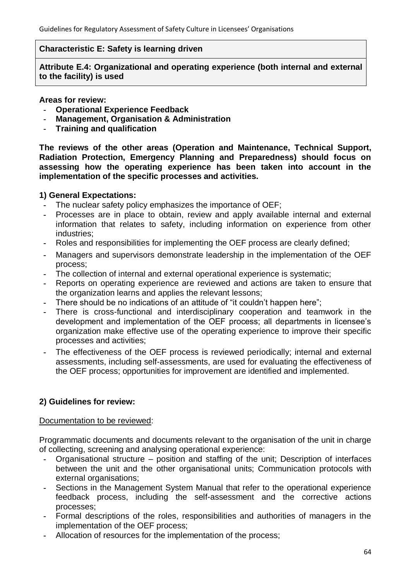### **Characteristic E: Safety is learning driven**

**Attribute E.4: Organizational and operating experience (both internal and external to the facility) is used**

#### **Areas for review:**

- **- Operational Experience Feedback**
- **- Management, Organisation & Administration**
- **- Training and qualification**

**The reviews of the other areas (Operation and Maintenance, Technical Support, Radiation Protection, Emergency Planning and Preparedness) should focus on assessing how the operating experience has been taken into account in the implementation of the specific processes and activities.**

#### **1) General Expectations:**

- **-** The nuclear safety policy emphasizes the importance of OEF;
- **-** Processes are in place to obtain, review and apply available internal and external information that relates to safety, including information on experience from other industries;
- **-** Roles and responsibilities for implementing the OEF process are clearly defined;
- **-** Managers and supervisors demonstrate leadership in the implementation of the OEF process;
- **-** The collection of internal and external operational experience is systematic;
- **-** Reports on operating experience are reviewed and actions are taken to ensure that the organization learns and applies the relevant lessons;
- There should be no indications of an attitude of "it couldn't happen here";
- **-** There is cross-functional and interdisciplinary cooperation and teamwork in the development and implementation of the OEF process; all departments in licensee's organization make effective use of the operating experience to improve their specific processes and activities;
- **-** The effectiveness of the OEF process is reviewed periodically; internal and external assessments, including self-assessments, are used for evaluating the effectiveness of the OEF process; opportunities for improvement are identified and implemented.

# **2) Guidelines for review:**

#### Documentation to be reviewed:

Programmatic documents and documents relevant to the organisation of the unit in charge of collecting, screening and analysing operational experience:

- **-** Organisational structure position and staffing of the unit; Description of interfaces between the unit and the other organisational units; Communication protocols with external organisations;
- **-** Sections in the Management System Manual that refer to the operational experience feedback process, including the self-assessment and the corrective actions processes;
- **-** Formal descriptions of the roles, responsibilities and authorities of managers in the implementation of the OEF process;
- **-** Allocation of resources for the implementation of the process;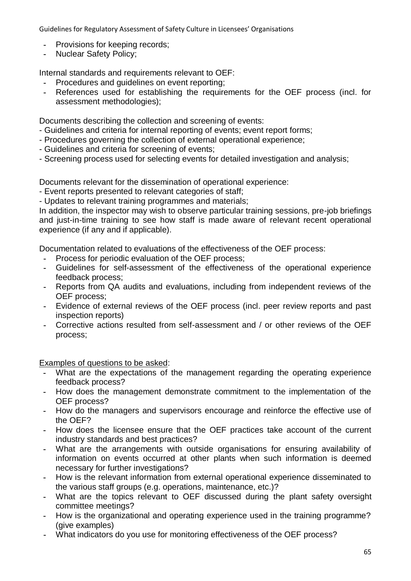- **-** Provisions for keeping records;
- **-** Nuclear Safety Policy;

Internal standards and requirements relevant to OEF:

- **-** Procedures and guidelines on event reporting;
- **-** References used for establishing the requirements for the OEF process (incl. for assessment methodologies);

Documents describing the collection and screening of events:

- Guidelines and criteria for internal reporting of events; event report forms;
- Procedures governing the collection of external operational experience;
- Guidelines and criteria for screening of events;
- Screening process used for selecting events for detailed investigation and analysis;

Documents relevant for the dissemination of operational experience:

- Event reports presented to relevant categories of staff;
- Updates to relevant training programmes and materials;

In addition, the inspector may wish to observe particular training sessions, pre-job briefings and just-in-time training to see how staff is made aware of relevant recent operational experience (if any and if applicable).

Documentation related to evaluations of the effectiveness of the OEF process:

- **-** Process for periodic evaluation of the OEF process;
- **-** Guidelines for self-assessment of the effectiveness of the operational experience feedback process;
- **-** Reports from QA audits and evaluations, including from independent reviews of the OEF process;
- **-** Evidence of external reviews of the OEF process (incl. peer review reports and past inspection reports)
- **-** Corrective actions resulted from self-assessment and / or other reviews of the OEF process;

Examples of questions to be asked:

- **-** What are the expectations of the management regarding the operating experience feedback process?
- **-** How does the management demonstrate commitment to the implementation of the OEF process?
- **-** How do the managers and supervisors encourage and reinforce the effective use of the OEF?
- **-** How does the licensee ensure that the OEF practices take account of the current industry standards and best practices?
- **-** What are the arrangements with outside organisations for ensuring availability of information on events occurred at other plants when such information is deemed necessary for further investigations?
- **-** How is the relevant information from external operational experience disseminated to the various staff groups (e.g. operations, maintenance, etc.)?
- **-** What are the topics relevant to OEF discussed during the plant safety oversight committee meetings?
- **-** How is the organizational and operating experience used in the training programme? (give examples)
- **-** What indicators do you use for monitoring effectiveness of the OEF process?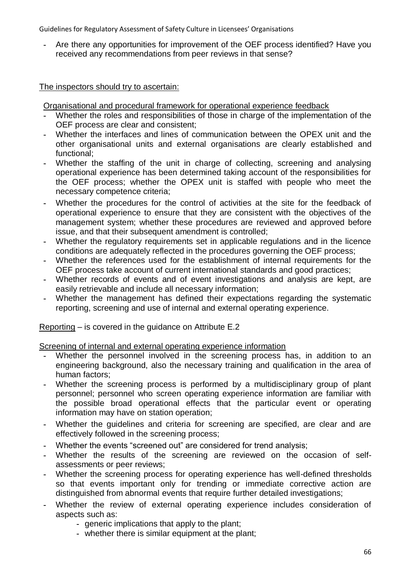**-** Are there any opportunities for improvement of the OEF process identified? Have you received any recommendations from peer reviews in that sense?

The inspectors should try to ascertain:

Organisational and procedural framework for operational experience feedback

- **-** Whether the roles and responsibilities of those in charge of the implementation of the OEF process are clear and consistent;
- **-** Whether the interfaces and lines of communication between the OPEX unit and the other organisational units and external organisations are clearly established and functional;
- **-** Whether the staffing of the unit in charge of collecting, screening and analysing operational experience has been determined taking account of the responsibilities for the OEF process; whether the OPEX unit is staffed with people who meet the necessary competence criteria;
- **-** Whether the procedures for the control of activities at the site for the feedback of operational experience to ensure that they are consistent with the objectives of the management system; whether these procedures are reviewed and approved before issue, and that their subsequent amendment is controlled;
- **-** Whether the regulatory requirements set in applicable regulations and in the licence conditions are adequately reflected in the procedures governing the OEF process;
- **-** Whether the references used for the establishment of internal requirements for the OEF process take account of current international standards and good practices;
- **-** Whether records of events and of event investigations and analysis are kept, are easily retrievable and include all necessary information;
- **-** Whether the management has defined their expectations regarding the systematic reporting, screening and use of internal and external operating experience.

Reporting – is covered in the guidance on Attribute E.2

Screening of internal and external operating experience information

- **-** Whether the personnel involved in the screening process has, in addition to an engineering background, also the necessary training and qualification in the area of human factors;
- **-** Whether the screening process is performed by a multidisciplinary group of plant personnel; personnel who screen operating experience information are familiar with the possible broad operational effects that the particular event or operating information may have on station operation;
- **-** Whether the guidelines and criteria for screening are specified, are clear and are effectively followed in the screening process;
- Whether the events "screened out" are considered for trend analysis;
- **-** Whether the results of the screening are reviewed on the occasion of selfassessments or peer reviews;
- **-** Whether the screening process for operating experience has well-defined thresholds so that events important only for trending or immediate corrective action are distinguished from abnormal events that require further detailed investigations;
- **-** Whether the review of external operating experience includes consideration of aspects such as:
	- **-** generic implications that apply to the plant;
	- **-** whether there is similar equipment at the plant;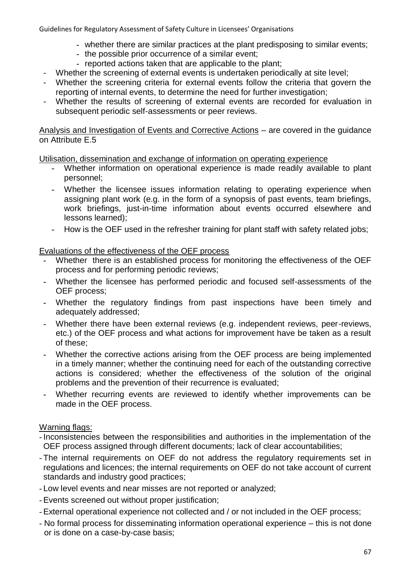- **-** whether there are similar practices at the plant predisposing to similar events;
- **-** the possible prior occurrence of a similar event;
- **-** reported actions taken that are applicable to the plant;
- Whether the screening of external events is undertaken periodically at site level;
- Whether the screening criteria for external events follow the criteria that govern the reporting of internal events, to determine the need for further investigation;
- Whether the results of screening of external events are recorded for evaluation in subsequent periodic self-assessments or peer reviews.

Analysis and Investigation of Events and Corrective Actions – are covered in the guidance on Attribute E.5

Utilisation, dissemination and exchange of information on operating experience

- **-** Whether information on operational experience is made readily available to plant personnel;
- **-** Whether the licensee issues information relating to operating experience when assigning plant work (e.g. in the form of a synopsis of past events, team briefings, work briefings, just-in-time information about events occurred elsewhere and lessons learned);
- **-** How is the OEF used in the refresher training for plant staff with safety related jobs;

Evaluations of the effectiveness of the OEF process

- **-** Whether there is an established process for monitoring the effectiveness of the OEF process and for performing periodic reviews;
- **-** Whether the licensee has performed periodic and focused self-assessments of the OEF process;
- **-** Whether the regulatory findings from past inspections have been timely and adequately addressed;
- **-** Whether there have been external reviews (e.g. independent reviews, peer-reviews, etc.) of the OEF process and what actions for improvement have be taken as a result of these;
- **-** Whether the corrective actions arising from the OEF process are being implemented in a timely manner; whether the continuing need for each of the outstanding corrective actions is considered; whether the effectiveness of the solution of the original problems and the prevention of their recurrence is evaluated;
- **-** Whether recurring events are reviewed to identify whether improvements can be made in the OEF process.

- Inconsistencies between the responsibilities and authorities in the implementation of the OEF process assigned through different documents; lack of clear accountabilities;
- The internal requirements on OEF do not address the regulatory requirements set in regulations and licences; the internal requirements on OEF do not take account of current standards and industry good practices;
- Low level events and near misses are not reported or analyzed;
- Events screened out without proper justification;
- External operational experience not collected and / or not included in the OEF process;
- No formal process for disseminating information operational experience this is not done or is done on a case-by-case basis;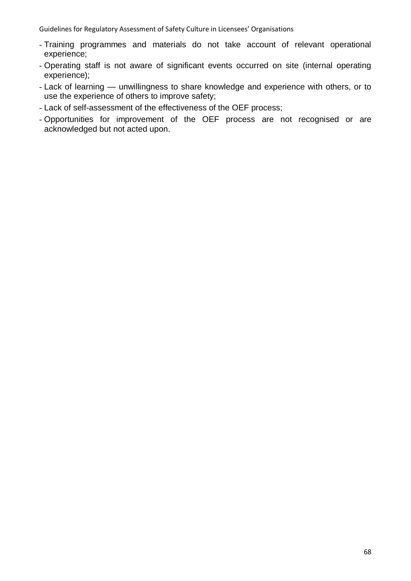- Training programmes and materials do not take account of relevant operational experience;
- Operating staff is not aware of significant events occurred on site (internal operating experience);
- Lack of learning unwillingness to share knowledge and experience with others, or to use the experience of others to improve safety;
- Lack of self-assessment of the effectiveness of the OEF process;
- Opportunities for improvement of the OEF process are not recognised or are acknowledged but not acted upon.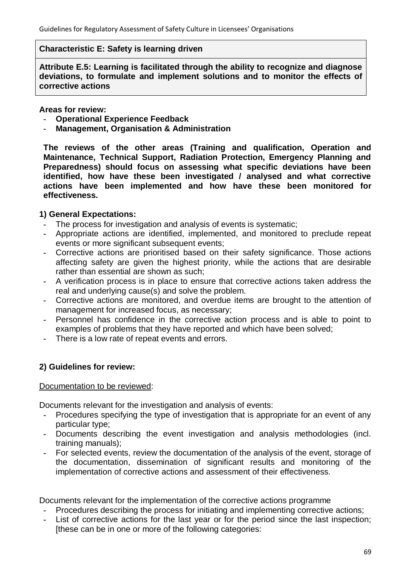#### **Characteristic E: Safety is learning driven**

**Attribute E.5: Learning is facilitated through the ability to recognize and diagnose deviations, to formulate and implement solutions and to monitor the effects of corrective actions**

**Areas for review:** 

- **- Operational Experience Feedback**
- **- Management, Organisation & Administration**

**The reviews of the other areas (Training and qualification, Operation and Maintenance, Technical Support, Radiation Protection, Emergency Planning and Preparedness) should focus on assessing what specific deviations have been identified, how have these been investigated / analysed and what corrective actions have been implemented and how have these been monitored for effectiveness.** 

### **1) General Expectations:**

- **-** The process for investigation and analysis of events is systematic;
- **-** Appropriate actions are identified, implemented, and monitored to preclude repeat events or more significant subsequent events;
- **-** Corrective actions are prioritised based on their safety significance. Those actions affecting safety are given the highest priority, while the actions that are desirable rather than essential are shown as such;
- **-** A verification process is in place to ensure that corrective actions taken address the real and underlying cause(s) and solve the problem.
- **-** Corrective actions are monitored, and overdue items are brought to the attention of management for increased focus, as necessary;
- **-** Personnel has confidence in the corrective action process and is able to point to examples of problems that they have reported and which have been solved;
- **-** There is a low rate of repeat events and errors.

### **2) Guidelines for review:**

#### Documentation to be reviewed:

Documents relevant for the investigation and analysis of events:

- **-** Procedures specifying the type of investigation that is appropriate for an event of any particular type;
- **-** Documents describing the event investigation and analysis methodologies (incl. training manuals);
- **-** For selected events, review the documentation of the analysis of the event, storage of the documentation, dissemination of significant results and monitoring of the implementation of corrective actions and assessment of their effectiveness.

Documents relevant for the implementation of the corrective actions programme

- **-** Procedures describing the process for initiating and implementing corrective actions;
- **-** List of corrective actions for the last year or for the period since the last inspection; [these can be in one or more of the following categories: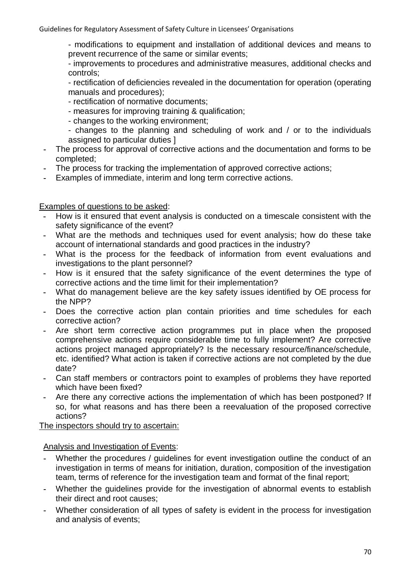- modifications to equipment and installation of additional devices and means to prevent recurrence of the same or similar events;

- improvements to procedures and administrative measures, additional checks and controls;

- rectification of deficiencies revealed in the documentation for operation (operating manuals and procedures);

- rectification of normative documents;
- measures for improving training & qualification;
- changes to the working environment;
- changes to the planning and scheduling of work and / or to the individuals assigned to particular duties ]
- **-** The process for approval of corrective actions and the documentation and forms to be completed;
- **-** The process for tracking the implementation of approved corrective actions;
- **-** Examples of immediate, interim and long term corrective actions.

# Examples of questions to be asked:

- **-** How is it ensured that event analysis is conducted on a timescale consistent with the safety significance of the event?
- **-** What are the methods and techniques used for event analysis; how do these take account of international standards and good practices in the industry?
- **-** What is the process for the feedback of information from event evaluations and investigations to the plant personnel?
- **-** How is it ensured that the safety significance of the event determines the type of corrective actions and the time limit for their implementation?
- **-** What do management believe are the key safety issues identified by OE process for the NPP?
- **-** Does the corrective action plan contain priorities and time schedules for each corrective action?
- **-** Are short term corrective action programmes put in place when the proposed comprehensive actions require considerable time to fully implement? Are corrective actions project managed appropriately? Is the necessary resource/finance/schedule, etc. identified? What action is taken if corrective actions are not completed by the due date?
- **-** Can staff members or contractors point to examples of problems they have reported which have been fixed?
- **-** Are there any corrective actions the implementation of which has been postponed? If so, for what reasons and has there been a reevaluation of the proposed corrective actions?

The inspectors should try to ascertain:

Analysis and Investigation of Events:

- **-** Whether the procedures / guidelines for event investigation outline the conduct of an investigation in terms of means for initiation, duration, composition of the investigation team, terms of reference for the investigation team and format of the final report;
- **-** Whether the guidelines provide for the investigation of abnormal events to establish their direct and root causes;
- **-** Whether consideration of all types of safety is evident in the process for investigation and analysis of events;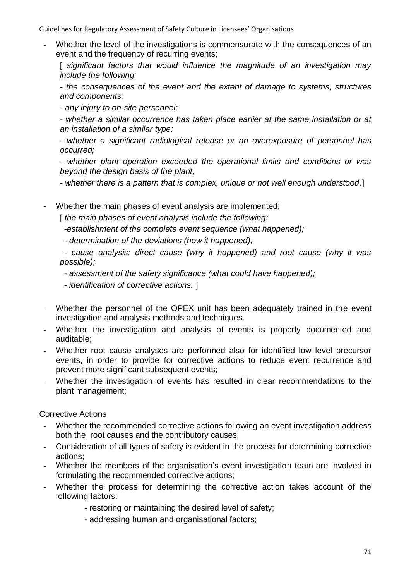**-** Whether the level of the investigations is commensurate with the consequences of an event and the frequency of recurring events;

[ *significant factors that would influence the magnitude of an investigation may include the following:*

*- the consequences of the event and the extent of damage to systems, structures and components;*

*- any injury to on-site personnel;*

*- whether a similar occurrence has taken place earlier at the same installation or at an installation of a similar type;*

*- whether a significant radiological release or an overexposure of personnel has occurred;*

*- whether plant operation exceeded the operational limits and conditions or was beyond the design basis of the plant;*

*- whether there is a pattern that is complex, unique or not well enough understood*.]

**-** Whether the main phases of event analysis are implemented;

[ *the main phases of event analysis include the following:* 

*-establishment of the complete event sequence (what happened);*

*- determination of the deviations (how it happened);*

*- cause analysis: direct cause (why it happened) and root cause (why it was possible);*

*- assessment of the safety significance (what could have happened);*

*- identification of corrective actions.* ]

- **-** Whether the personnel of the OPEX unit has been adequately trained in the event investigation and analysis methods and techniques.
- **-** Whether the investigation and analysis of events is properly documented and auditable;
- **-** Whether root cause analyses are performed also for identified low level precursor events, in order to provide for corrective actions to reduce event recurrence and prevent more significant subsequent events;
- **-** Whether the investigation of events has resulted in clear recommendations to the plant management;

# Corrective Actions

- **-** Whether the recommended corrective actions following an event investigation address both the root causes and the contributory causes;
- **-** Consideration of all types of safety is evident in the process for determining corrective actions;
- **-** Whether the members of the organisation's event investigation team are involved in formulating the recommended corrective actions;
- **-** Whether the process for determining the corrective action takes account of the following factors:
	- restoring or maintaining the desired level of safety;
	- addressing human and organisational factors;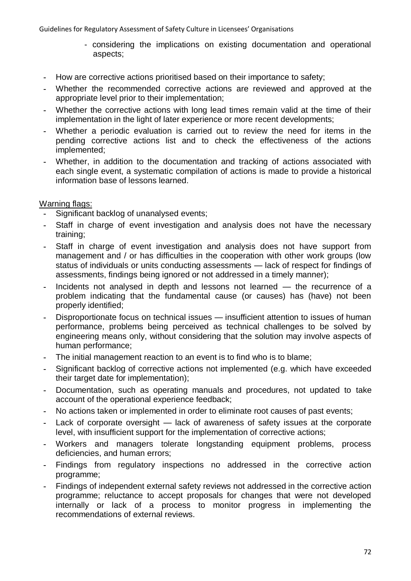- considering the implications on existing documentation and operational aspects;
- **-** How are corrective actions prioritised based on their importance to safety;
- **-** Whether the recommended corrective actions are reviewed and approved at the appropriate level prior to their implementation;
- **-** Whether the corrective actions with long lead times remain valid at the time of their implementation in the light of later experience or more recent developments;
- **-** Whether a periodic evaluation is carried out to review the need for items in the pending corrective actions list and to check the effectiveness of the actions implemented;
- **-** Whether, in addition to the documentation and tracking of actions associated with each single event, a systematic compilation of actions is made to provide a historical information base of lessons learned.

- **-** Significant backlog of unanalysed events;
- **-** Staff in charge of event investigation and analysis does not have the necessary training;
- **-** Staff in charge of event investigation and analysis does not have support from management and / or has difficulties in the cooperation with other work groups (low status of individuals or units conducting assessments — lack of respect for findings of assessments, findings being ignored or not addressed in a timely manner);
- **-** Incidents not analysed in depth and lessons not learned the recurrence of a problem indicating that the fundamental cause (or causes) has (have) not been properly identified;
- **-** Disproportionate focus on technical issues insufficient attention to issues of human performance, problems being perceived as technical challenges to be solved by engineering means only, without considering that the solution may involve aspects of human performance;
- **-** The initial management reaction to an event is to find who is to blame;
- **-** Significant backlog of corrective actions not implemented (e.g. which have exceeded their target date for implementation);
- **-** Documentation, such as operating manuals and procedures, not updated to take account of the operational experience feedback;
- **-** No actions taken or implemented in order to eliminate root causes of past events;
- Lack of corporate oversight lack of awareness of safety issues at the corporate level, with insufficient support for the implementation of corrective actions;
- **-** Workers and managers tolerate longstanding equipment problems, process deficiencies, and human errors;
- **-** Findings from regulatory inspections no addressed in the corrective action programme;
- **-** Findings of independent external safety reviews not addressed in the corrective action programme; reluctance to accept proposals for changes that were not developed internally or lack of a process to monitor progress in implementing the recommendations of external reviews.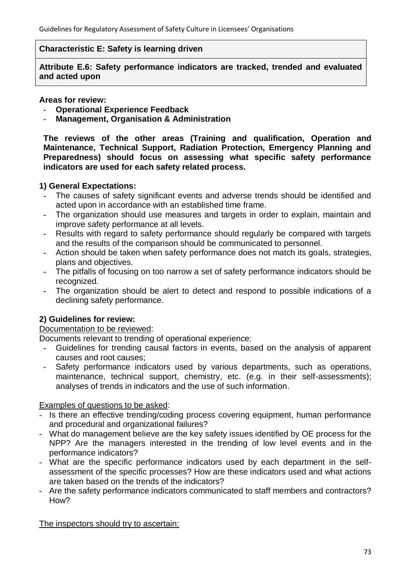#### **Characteristic E: Safety is learning driven**

**Attribute E.6: Safety performance indicators are tracked, trended and evaluated and acted upon**

**Areas for review:** 

- **- Operational Experience Feedback**
- **- Management, Organisation & Administration**

**The reviews of the other areas (Training and qualification, Operation and Maintenance, Technical Support, Radiation Protection, Emergency Planning and Preparedness) should focus on assessing what specific safety performance indicators are used for each safety related process.** 

### **1) General Expectations:**

- **-** The causes of safety significant events and adverse trends should be identified and acted upon in accordance with an established time frame.
- **-** The organization should use measures and targets in order to explain, maintain and improve safety performance at all levels.
- **-** Results with regard to safety performance should regularly be compared with targets and the results of the comparison should be communicated to personnel.
- **-** Action should be taken when safety performance does not match its goals, strategies, plans and objectives.
- **-** The pitfalls of focusing on too narrow a set of safety performance indicators should be recognized.
- **-** The organization should be alert to detect and respond to possible indications of a declining safety performance.

# **2) Guidelines for review:**

#### Documentation to be reviewed:

Documents relevant to trending of operational experience:

- **-** Guidelines for trending causal factors in events, based on the analysis of apparent causes and root causes;
- **-** Safety performance indicators used by various departments, such as operations, maintenance, technical support, chemistry, etc. (e.g. in their self-assessments); analyses of trends in indicators and the use of such information.

#### Examples of questions to be asked:

- Is there an effective trending/coding process covering equipment, human performance and procedural and organizational failures?
- What do management believe are the key safety issues identified by OE process for the NPP? Are the managers interested in the trending of low level events and in the performance indicators?
- What are the specific performance indicators used by each department in the selfassessment of the specific processes? How are these indicators used and what actions are taken based on the trends of the indicators?
- Are the safety performance indicators communicated to staff members and contractors? How?

The inspectors should try to ascertain: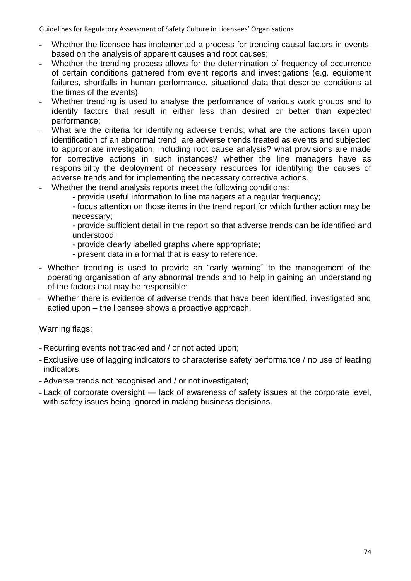- Whether the licensee has implemented a process for trending causal factors in events, based on the analysis of apparent causes and root causes;
- Whether the trending process allows for the determination of frequency of occurrence of certain conditions gathered from event reports and investigations (e.g. equipment failures, shortfalls in human performance, situational data that describe conditions at the times of the events);
- Whether trending is used to analyse the performance of various work groups and to identify factors that result in either less than desired or better than expected performance;
- What are the criteria for identifying adverse trends; what are the actions taken upon identification of an abnormal trend; are adverse trends treated as events and subjected to appropriate investigation, including root cause analysis? what provisions are made for corrective actions in such instances? whether the line managers have as responsibility the deployment of necessary resources for identifying the causes of adverse trends and for implementing the necessary corrective actions.
- Whether the trend analysis reports meet the following conditions:
	- provide useful information to line managers at a regular frequency;

- focus attention on those items in the trend report for which further action may be necessary;

- provide sufficient detail in the report so that adverse trends can be identified and understood;

- provide clearly labelled graphs where appropriate;
- present data in a format that is easy to reference.
- Whether trending is used to provide an "early warning" to the management of the operating organisation of any abnormal trends and to help in gaining an understanding of the factors that may be responsible;
- Whether there is evidence of adverse trends that have been identified, investigated and actied upon – the licensee shows a proactive approach.

# Warning flags:

- Recurring events not tracked and / or not acted upon;
- Exclusive use of lagging indicators to characterise safety performance / no use of leading indicators;
- Adverse trends not recognised and / or not investigated;
- Lack of corporate oversight lack of awareness of safety issues at the corporate level, with safety issues being ignored in making business decisions.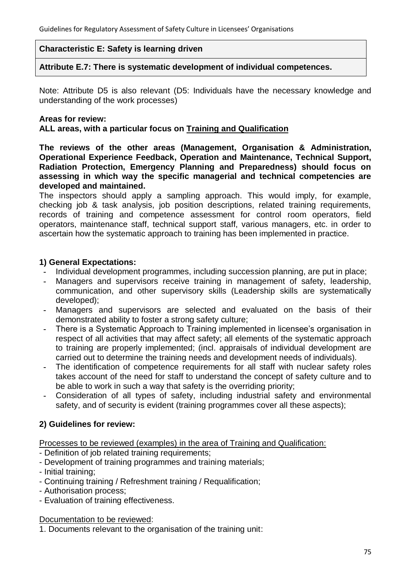#### **Characteristic E: Safety is learning driven**

**Attribute E.7: There is systematic development of individual competences.**

Note: Attribute D5 is also relevant (D5: Individuals have the necessary knowledge and understanding of the work processes)

#### **Areas for review:**

**ALL areas, with a particular focus on Training and Qualification**

**The reviews of the other areas (Management, Organisation & Administration, Operational Experience Feedback, Operation and Maintenance, Technical Support, Radiation Protection, Emergency Planning and Preparedness) should focus on assessing in which way the specific managerial and technical competencies are developed and maintained.**

The inspectors should apply a sampling approach. This would imply, for example, checking job & task analysis, job position descriptions, related training requirements, records of training and competence assessment for control room operators, field operators, maintenance staff, technical support staff, various managers, etc. in order to ascertain how the systematic approach to training has been implemented in practice.

# **1) General Expectations:**

- **-** Individual development programmes, including succession planning, are put in place;
- **-** Managers and supervisors receive training in management of safety, leadership, communication, and other supervisory skills (Leadership skills are systematically developed);
- **-** Managers and supervisors are selected and evaluated on the basis of their demonstrated ability to foster a strong safety culture;
- **-** There is a Systematic Approach to Training implemented in licensee's organisation in respect of all activities that may affect safety; all elements of the systematic approach to training are properly implemented; (incl. appraisals of individual development are carried out to determine the training needs and development needs of individuals).
- **-** The identification of competence requirements for all staff with nuclear safety roles takes account of the need for staff to understand the concept of safety culture and to be able to work in such a way that safety is the overriding priority;
- **-** Consideration of all types of safety, including industrial safety and environmental safety, and of security is evident (training programmes cover all these aspects);

# **2) Guidelines for review:**

Processes to be reviewed (examples) in the area of Training and Qualification:

- Definition of job related training requirements;
- Development of training programmes and training materials;
- Initial training;
- Continuing training / Refreshment training / Requalification;
- Authorisation process;
- Evaluation of training effectiveness.

Documentation to be reviewed:

1. Documents relevant to the organisation of the training unit: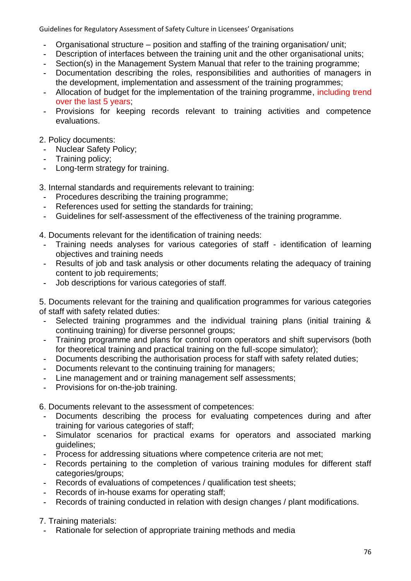- **-** Organisational structure position and staffing of the training organisation/ unit;
- **-** Description of interfaces between the training unit and the other organisational units;
- **-** Section(s) in the Management System Manual that refer to the training programme;
- **-** Documentation describing the roles, responsibilities and authorities of managers in the development, implementation and assessment of the training programmes;
- **-** Allocation of budget for the implementation of the training programme, including trend over the last 5 years;
- **-** Provisions for keeping records relevant to training activities and competence evaluations.

### 2. Policy documents:

- **-** Nuclear Safety Policy;
- **-** Training policy;
- **-** Long-term strategy for training.

3. Internal standards and requirements relevant to training:

- **-** Procedures describing the training programme;
- **-** References used for setting the standards for training;
- **-** Guidelines for self-assessment of the effectiveness of the training programme.
- 4. Documents relevant for the identification of training needs:
- **-** Training needs analyses for various categories of staff identification of learning objectives and training needs
- **-** Results of job and task analysis or other documents relating the adequacy of training content to job requirements;
- **-** Job descriptions for various categories of staff.

5. Documents relevant for the training and qualification programmes for various categories of staff with safety related duties:

- **-** Selected training programmes and the individual training plans (initial training & continuing training) for diverse personnel groups;
- **-** Training programme and plans for control room operators and shift supervisors (both for theoretical training and practical training on the full-scope simulator);
- **-** Documents describing the authorisation process for staff with safety related duties;
- **-** Documents relevant to the continuing training for managers;
- **-** Line management and or training management self assessments;
- **-** Provisions for on-the-job training.

6. Documents relevant to the assessment of competences:

- **-** Documents describing the process for evaluating competences during and after training for various categories of staff;
- **-** Simulator scenarios for practical exams for operators and associated marking guidelines;
- **-** Process for addressing situations where competence criteria are not met;
- **-** Records pertaining to the completion of various training modules for different staff categories/groups;
- **-** Records of evaluations of competences / qualification test sheets;
- **-** Records of in-house exams for operating staff;
- **-** Records of training conducted in relation with design changes / plant modifications.

7. Training materials:

**-** Rationale for selection of appropriate training methods and media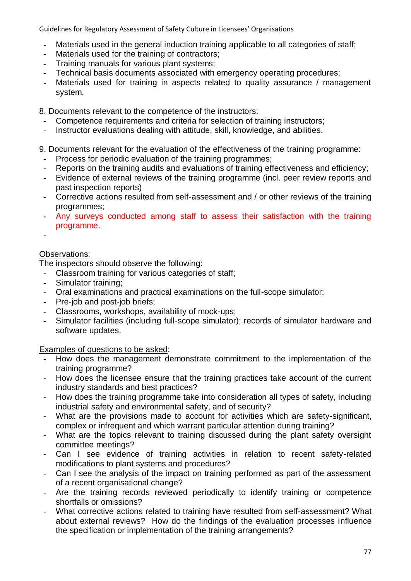- **-** Materials used in the general induction training applicable to all categories of staff;
- **-** Materials used for the training of contractors;
- **-** Training manuals for various plant systems;
- **-** Technical basis documents associated with emergency operating procedures;
- **-** Materials used for training in aspects related to quality assurance / management system.

8. Documents relevant to the competence of the instructors:

- **-** Competence requirements and criteria for selection of training instructors;
- **-** Instructor evaluations dealing with attitude, skill, knowledge, and abilities.

9. Documents relevant for the evaluation of the effectiveness of the training programme:

- **-** Process for periodic evaluation of the training programmes;
- **-** Reports on the training audits and evaluations of training effectiveness and efficiency;
- **-** Evidence of external reviews of the training programme (incl. peer review reports and past inspection reports)
- **-** Corrective actions resulted from self-assessment and / or other reviews of the training programmes;
- **-** Any surveys conducted among staff to assess their satisfaction with the training programme.
- **-**

# Observations:

The inspectors should observe the following:

- **-** Classroom training for various categories of staff;
- **-** Simulator training;
- **-** Oral examinations and practical examinations on the full-scope simulator;
- **-** Pre-job and post-job briefs;
- **-** Classrooms, workshops, availability of mock-ups;
- **-** Simulator facilities (including full-scope simulator); records of simulator hardware and software updates.

Examples of questions to be asked:

- **-** How does the management demonstrate commitment to the implementation of the training programme?
- **-** How does the licensee ensure that the training practices take account of the current industry standards and best practices?
- **-** How does the training programme take into consideration all types of safety, including industrial safety and environmental safety, and of security?
- **-** What are the provisions made to account for activities which are safety-significant, complex or infrequent and which warrant particular attention during training?
- **-** What are the topics relevant to training discussed during the plant safety oversight committee meetings?
- **-** Can I see evidence of training activities in relation to recent safety-related modifications to plant systems and procedures?
- **-** Can I see the analysis of the impact on training performed as part of the assessment of a recent organisational change?
- **-** Are the training records reviewed periodically to identify training or competence shortfalls or omissions?
- **-** What corrective actions related to training have resulted from self-assessment? What about external reviews? How do the findings of the evaluation processes influence the specification or implementation of the training arrangements?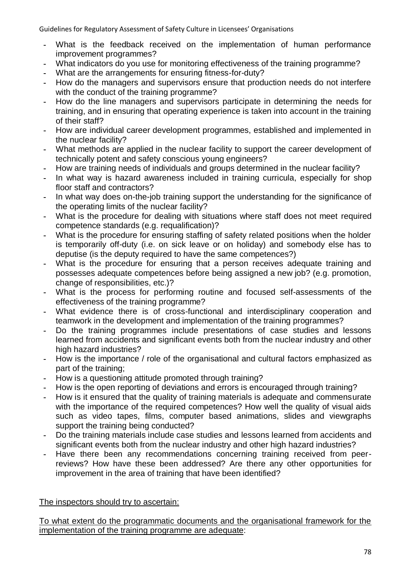- **-** What is the feedback received on the implementation of human performance improvement programmes?
- **-** What indicators do you use for monitoring effectiveness of the training programme?
- **-** What are the arrangements for ensuring fitness-for-duty?
- **-** How do the managers and supervisors ensure that production needs do not interfere with the conduct of the training programme?
- **-** How do the line managers and supervisors participate in determining the needs for training, and in ensuring that operating experience is taken into account in the training of their staff?
- **-** How are individual career development programmes, established and implemented in the nuclear facility?
- **-** What methods are applied in the nuclear facility to support the career development of technically potent and safety conscious young engineers?
- **-** How are training needs of individuals and groups determined in the nuclear facility?
- **-** In what way is hazard awareness included in training curricula, especially for shop floor staff and contractors?
- **-** In what way does on-the-job training support the understanding for the significance of the operating limits of the nuclear facility?
- **-** What is the procedure for dealing with situations where staff does not meet required competence standards (e.g. requalification)?
- **-** What is the procedure for ensuring staffing of safety related positions when the holder is temporarily off-duty (i.e. on sick leave or on holiday) and somebody else has to deputise (is the deputy required to have the same competences?)
- **-** What is the procedure for ensuring that a person receives adequate training and possesses adequate competences before being assigned a new job? (e.g. promotion, change of responsibilities, etc.)?
- **-** What is the process for performing routine and focused self-assessments of the effectiveness of the training programme?
- **-** What evidence there is of cross-functional and interdisciplinary cooperation and teamwork in the development and implementation of the training programmes?
- **-** Do the training programmes include presentations of case studies and lessons learned from accidents and significant events both from the nuclear industry and other high hazard industries?
- **-** How is the importance / role of the organisational and cultural factors emphasized as part of the training;
- **-** How is a questioning attitude promoted through training?
- **-** How is the open reporting of deviations and errors is encouraged through training?
- **-** How is it ensured that the quality of training materials is adequate and commensurate with the importance of the required competences? How well the quality of visual aids such as video tapes, films, computer based animations, slides and viewgraphs support the training being conducted?
- **-** Do the training materials include case studies and lessons learned from accidents and significant events both from the nuclear industry and other high hazard industries?
- **-** Have there been any recommendations concerning training received from peerreviews? How have these been addressed? Are there any other opportunities for improvement in the area of training that have been identified?

# The inspectors should try to ascertain:

To what extent do the programmatic documents and the organisational framework for the implementation of the training programme are adequate: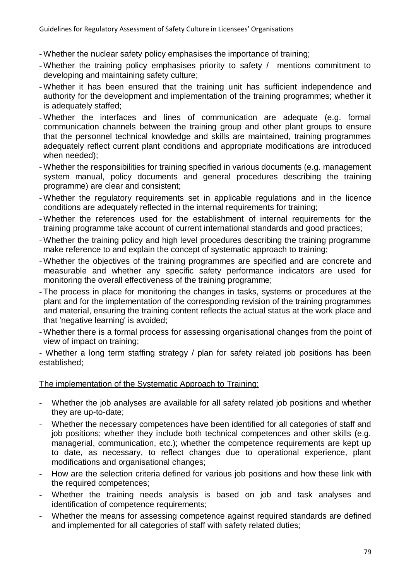- Whether the nuclear safety policy emphasises the importance of training;
- Whether the training policy emphasises priority to safety / mentions commitment to developing and maintaining safety culture;
- Whether it has been ensured that the training unit has sufficient independence and authority for the development and implementation of the training programmes; whether it is adequately staffed;
- Whether the interfaces and lines of communication are adequate (e.g. formal communication channels between the training group and other plant groups to ensure that the personnel technical knowledge and skills are maintained, training programmes adequately reflect current plant conditions and appropriate modifications are introduced when needed);
- Whether the responsibilities for training specified in various documents (e.g. management system manual, policy documents and general procedures describing the training programme) are clear and consistent;
- Whether the regulatory requirements set in applicable regulations and in the licence conditions are adequately reflected in the internal requirements for training;
- Whether the references used for the establishment of internal requirements for the training programme take account of current international standards and good practices;
- Whether the training policy and high level procedures describing the training programme make reference to and explain the concept of systematic approach to training;
- Whether the objectives of the training programmes are specified and are concrete and measurable and whether any specific safety performance indicators are used for monitoring the overall effectiveness of the training programme;
- The process in place for monitoring the changes in tasks, systems or procedures at the plant and for the implementation of the corresponding revision of the training programmes and material, ensuring the training content reflects the actual status at the work place and that 'negative learning' is avoided;
- Whether there is a formal process for assessing organisational changes from the point of view of impact on training;

- Whether a long term staffing strategy / plan for safety related job positions has been established;

# The implementation of the Systematic Approach to Training:

- Whether the job analyses are available for all safety related job positions and whether they are up-to-date;
- Whether the necessary competences have been identified for all categories of staff and job positions; whether they include both technical competences and other skills (e.g. managerial, communication, etc.); whether the competence requirements are kept up to date, as necessary, to reflect changes due to operational experience, plant modifications and organisational changes;
- How are the selection criteria defined for various job positions and how these link with the required competences;
- Whether the training needs analysis is based on job and task analyses and identification of competence requirements;
- Whether the means for assessing competence against required standards are defined and implemented for all categories of staff with safety related duties;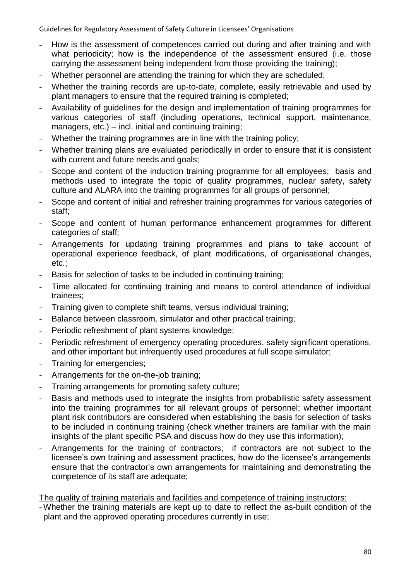- How is the assessment of competences carried out during and after training and with what periodicity; how is the independence of the assessment ensured (i.e. those carrying the assessment being independent from those providing the training);
- Whether personnel are attending the training for which they are scheduled;
- Whether the training records are up-to-date, complete, easily retrievable and used by plant managers to ensure that the required training is completed;
- Availability of guidelines for the design and implementation of training programmes for various categories of staff (including operations, technical support, maintenance, managers, etc.) – incl. initial and continuing training;
- Whether the training programmes are in line with the training policy;
- Whether training plans are evaluated periodically in order to ensure that it is consistent with current and future needs and goals;
- Scope and content of the induction training programme for all employees; basis and methods used to integrate the topic of quality programmes, nuclear safety, safety culture and ALARA into the training programmes for all groups of personnel;
- Scope and content of initial and refresher training programmes for various categories of staff;
- Scope and content of human performance enhancement programmes for different categories of staff;
- Arrangements for updating training programmes and plans to take account of operational experience feedback, of plant modifications, of organisational changes, etc.;
- Basis for selection of tasks to be included in continuing training;
- Time allocated for continuing training and means to control attendance of individual trainees;
- Training given to complete shift teams, versus individual training;
- Balance between classroom, simulator and other practical training;
- Periodic refreshment of plant systems knowledge;
- Periodic refreshment of emergency operating procedures, safety significant operations, and other important but infrequently used procedures at full scope simulator;
- Training for emergencies;
- Arrangements for the on-the-job training;
- Training arrangements for promoting safety culture;
- Basis and methods used to integrate the insights from probabilistic safety assessment into the training programmes for all relevant groups of personnel; whether important plant risk contributors are considered when establishing the basis for selection of tasks to be included in continuing training (check whether trainers are familiar with the main insights of the plant specific PSA and discuss how do they use this information);
- Arrangements for the training of contractors; if contractors are not subject to the licensee's own training and assessment practices, how do the licensee's arrangements ensure that the contractor's own arrangements for maintaining and demonstrating the competence of its staff are adequate;

The quality of training materials and facilities and competence of training instructors:

- Whether the training materials are kept up to date to reflect the as-built condition of the plant and the approved operating procedures currently in use;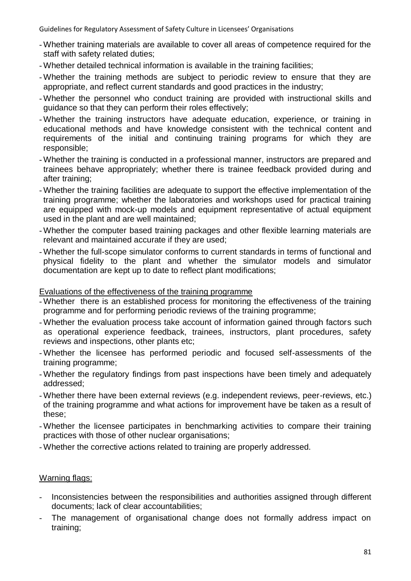- Whether training materials are available to cover all areas of competence required for the staff with safety related duties;
- Whether detailed technical information is available in the training facilities;
- Whether the training methods are subject to periodic review to ensure that they are appropriate, and reflect current standards and good practices in the industry;
- Whether the personnel who conduct training are provided with instructional skills and guidance so that they can perform their roles effectively;
- Whether the training instructors have adequate education, experience, or training in educational methods and have knowledge consistent with the technical content and requirements of the initial and continuing training programs for which they are responsible;
- Whether the training is conducted in a professional manner, instructors are prepared and trainees behave appropriately; whether there is trainee feedback provided during and after training;
- Whether the training facilities are adequate to support the effective implementation of the training programme; whether the laboratories and workshops used for practical training are equipped with mock-up models and equipment representative of actual equipment used in the plant and are well maintained;
- Whether the computer based training packages and other flexible learning materials are relevant and maintained accurate if they are used;
- Whether the full-scope simulator conforms to current standards in terms of functional and physical fidelity to the plant and whether the simulator models and simulator documentation are kept up to date to reflect plant modifications;

#### Evaluations of the effectiveness of the training programme

- Whether there is an established process for monitoring the effectiveness of the training programme and for performing periodic reviews of the training programme;
- Whether the evaluation process take account of information gained through factors such as operational experience feedback, trainees, instructors, plant procedures, safety reviews and inspections, other plants etc;
- Whether the licensee has performed periodic and focused self-assessments of the training programme;
- Whether the regulatory findings from past inspections have been timely and adequately addressed;
- Whether there have been external reviews (e.g. independent reviews, peer-reviews, etc.) of the training programme and what actions for improvement have be taken as a result of these;
- Whether the licensee participates in benchmarking activities to compare their training practices with those of other nuclear organisations;
- Whether the corrective actions related to training are properly addressed.

#### Warning flags:

- Inconsistencies between the responsibilities and authorities assigned through different documents; lack of clear accountabilities;
- The management of organisational change does not formally address impact on training;